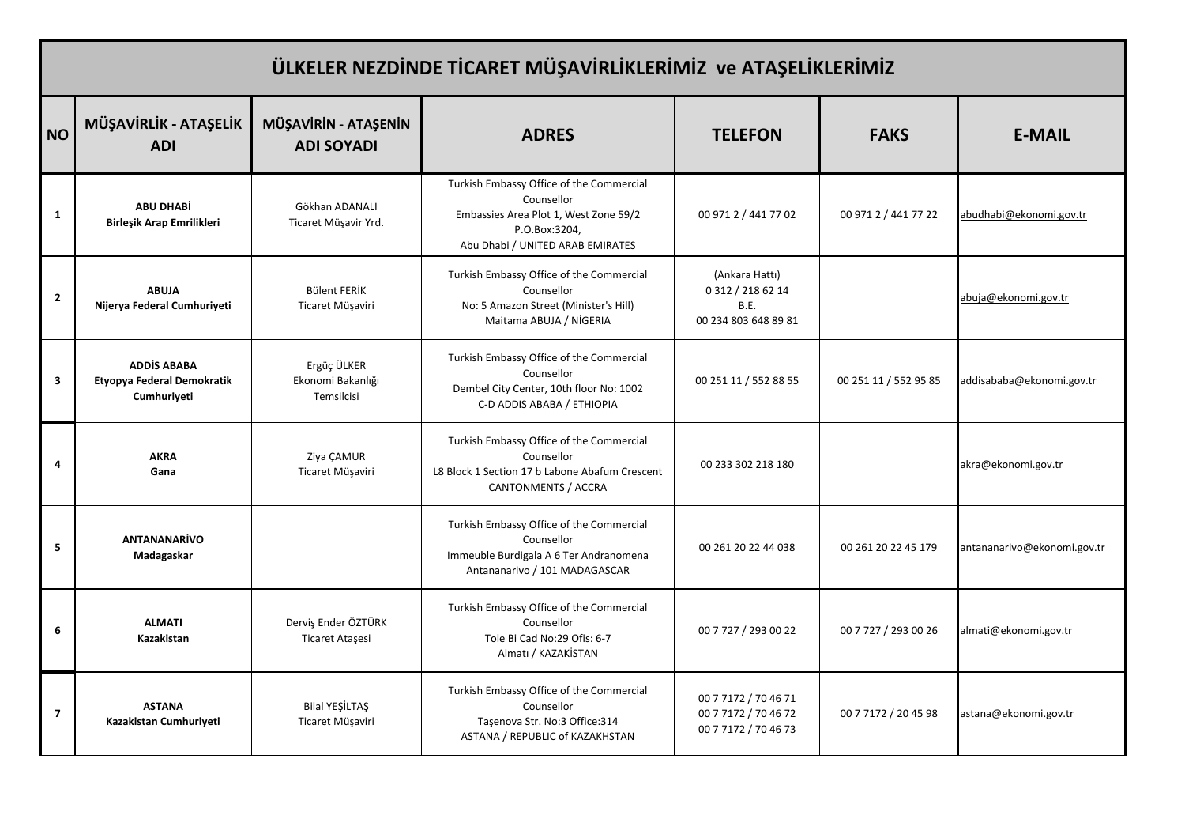|                         | ÜLKELER NEZDİNDE TİCARET MÜŞAVİRLİKLERİMİZ ve ATAŞELİKLERİMİZ          |                                                |                                                                                                                                                      |                                                                      |                       |                             |  |  |  |
|-------------------------|------------------------------------------------------------------------|------------------------------------------------|------------------------------------------------------------------------------------------------------------------------------------------------------|----------------------------------------------------------------------|-----------------------|-----------------------------|--|--|--|
| NO                      | MÜŞAVİRLİK - ATAŞELİK<br><b>ADI</b>                                    | MÜŞAVİRİN - ATAŞENİN<br><b>ADI SOYADI</b>      | <b>ADRES</b>                                                                                                                                         | <b>TELEFON</b>                                                       | <b>FAKS</b>           | <b>E-MAIL</b>               |  |  |  |
| $\mathbf{1}$            | <b>ABU DHABİ</b><br><b>Birleşik Arap Emrilikleri</b>                   | Gökhan ADANALI<br>Ticaret Müşavir Yrd.         | Turkish Embassy Office of the Commercial<br>Counsellor<br>Embassies Area Plot 1, West Zone 59/2<br>P.O.Box:3204,<br>Abu Dhabi / UNITED ARAB EMIRATES | 00 971 2 / 441 77 02                                                 | 00 971 2 / 441 77 22  | abudhabi@ekonomi.gov.tr     |  |  |  |
| $\overline{2}$          | <b>ABUJA</b><br>Nijerya Federal Cumhuriyeti                            | <b>Bülent FERİK</b><br>Ticaret Müşaviri        | Turkish Embassy Office of the Commercial<br>Counsellor<br>No: 5 Amazon Street (Minister's Hill)<br>Maitama ABUJA / NİGERIA                           | (Ankara Hattı)<br>0 312 / 218 62 14<br>B.E.<br>00 234 803 648 89 81  |                       | abuja@ekonomi.gov.tr        |  |  |  |
| 3                       | <b>ADDIS ABABA</b><br><b>Etyopya Federal Demokratik</b><br>Cumhuriyeti | Ergüç ÜLKER<br>Ekonomi Bakanlığı<br>Temsilcisi | Turkish Embassy Office of the Commercial<br>Counsellor<br>Dembel City Center, 10th floor No: 1002<br>C-D ADDIS ABABA / ETHIOPIA                      | 00 251 11 / 552 88 55                                                | 00 251 11 / 552 95 85 | addisababa@ekonomi.gov.tr   |  |  |  |
| Δ                       | <b>AKRA</b><br>Gana                                                    | Ziya ÇAMUR<br>Ticaret Müşaviri                 | Turkish Embassy Office of the Commercial<br>Counsellor<br>L8 Block 1 Section 17 b Labone Abafum Crescent<br><b>CANTONMENTS / ACCRA</b>               | 00 233 302 218 180                                                   |                       | akra@ekonomi.gov.tr         |  |  |  |
| 5                       | <b>ANTANANARIVO</b><br>Madagaskar                                      |                                                | Turkish Embassy Office of the Commercial<br>Counsellor<br>Immeuble Burdigala A 6 Ter Andranomena<br>Antananarivo / 101 MADAGASCAR                    | 00 261 20 22 44 038                                                  | 00 261 20 22 45 179   | antananarivo@ekonomi.gov.tr |  |  |  |
| 6                       | <b>ALMATI</b><br>Kazakistan                                            | Derviş Ender ÖZTÜRK<br>Ticaret Ataşesi         | Turkish Embassy Office of the Commercial<br>Counsellor<br>Tole Bi Cad No:29 Ofis: 6-7<br>Almatı / KAZAKİSTAN                                         | 00 7 727 / 293 00 22                                                 | 00 7 727 / 293 00 26  | almati@ekonomi.gov.tr       |  |  |  |
| $\overline{\mathbf{z}}$ | <b>ASTANA</b><br>Kazakistan Cumhuriyeti                                | Bilal YEŞİLTAŞ<br>Ticaret Müşaviri             | Turkish Embassy Office of the Commercial<br>Counsellor<br>Taşenova Str. No:3 Office:314<br>ASTANA / REPUBLIC of KAZAKHSTAN                           | 00 7 7172 / 70 46 71<br>00 7 7172 / 70 46 72<br>00 7 7172 / 70 46 73 | 00 7 7172 / 20 45 98  | astana@ekonomi.gov.tr       |  |  |  |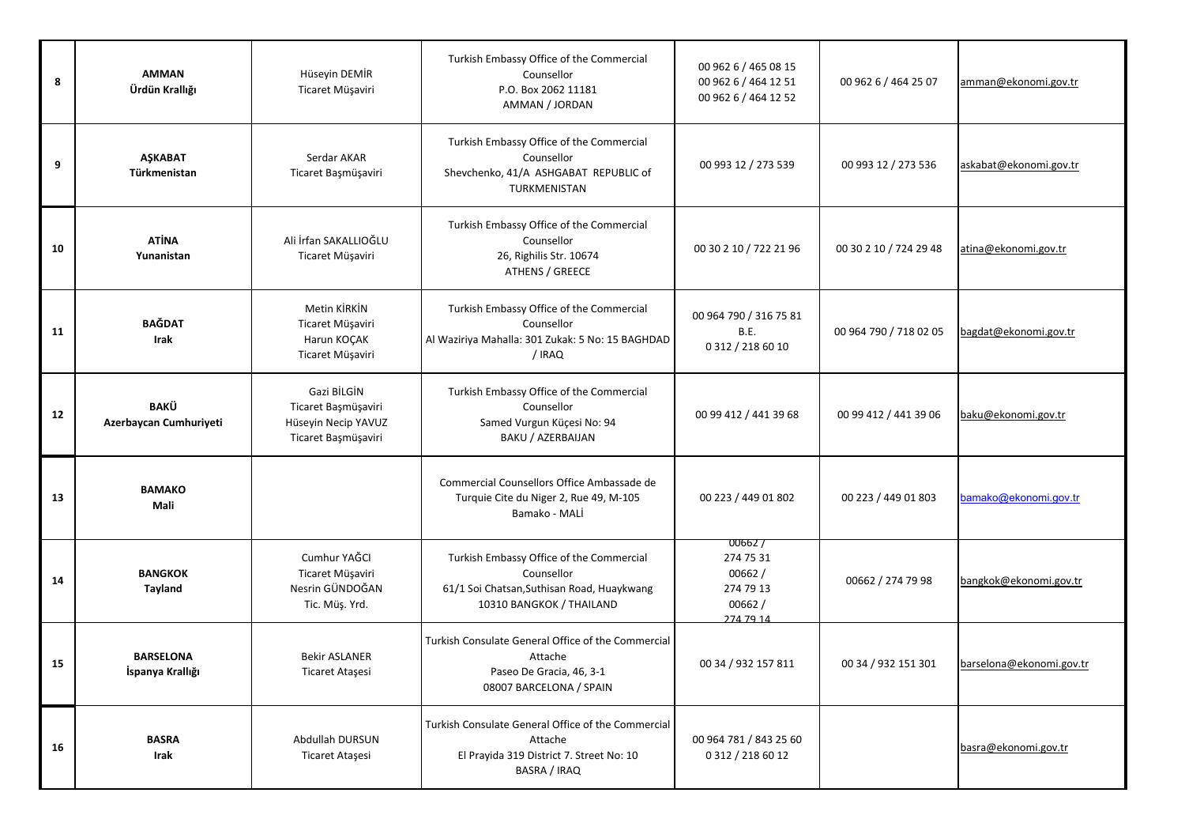| 8  | <b>AMMAN</b><br>Ürdün Krallığı        | Hüseyin DEMİR<br>Ticaret Müşaviri                                                | Turkish Embassy Office of the Commercial<br>Counsellor<br>P.O. Box 2062 11181<br>AMMAN / JORDAN                                  | 00 962 6 / 465 08 15<br>00 962 6 / 464 12 51<br>00 962 6 / 464 12 52 | 00 962 6 / 464 25 07   | amman@ekonomi.gov.tr     |
|----|---------------------------------------|----------------------------------------------------------------------------------|----------------------------------------------------------------------------------------------------------------------------------|----------------------------------------------------------------------|------------------------|--------------------------|
| 9  | <b>AŞKABAT</b><br>Türkmenistan        | Serdar AKAR<br>Ticaret Başmüşaviri                                               | Turkish Embassy Office of the Commercial<br>Counsellor<br>Shevchenko, 41/A ASHGABAT REPUBLIC of<br>TURKMENISTAN                  | 00 993 12 / 273 539                                                  | 00 993 12 / 273 536    | askabat@ekonomi.gov.tr   |
| 10 | <b>ATINA</b><br>Yunanistan            | Ali İrfan SAKALLIOĞLU<br>Ticaret Müşaviri                                        | Turkish Embassy Office of the Commercial<br>Counsellor<br>26, Righilis Str. 10674<br>ATHENS / GREECE                             | 00 30 2 10 / 722 21 96                                               | 00 30 2 10 / 724 29 48 | atina@ekonomi.gov.tr     |
| 11 | <b>BAĞDAT</b><br><b>Irak</b>          | Metin KİRKİN<br>Ticaret Müşaviri<br>Harun KOÇAK<br>Ticaret Müşaviri              | Turkish Embassy Office of the Commercial<br>Counsellor<br>Al Waziriya Mahalla: 301 Zukak: 5 No: 15 BAGHDAD<br>/ IRAQ             | 00 964 790 / 316 75 81<br>B.E.<br>0 312 / 218 60 10                  | 00 964 790 / 718 02 05 | bagdat@ekonomi.gov.tr    |
| 12 | <b>BAKÜ</b><br>Azerbaycan Cumhuriyeti | Gazi BİLGİN<br>Ticaret Başmüşaviri<br>Hüseyin Necip YAVUZ<br>Ticaret Başmüşaviri | Turkish Embassy Office of the Commercial<br>Counsellor<br>Samed Vurgun Küçesi No: 94<br>BAKU / AZERBAIJAN                        | 00 99 412 / 441 39 68                                                | 00 99 412 / 441 39 06  | baku@ekonomi.gov.tr      |
| 13 | <b>BAMAKO</b><br>Mali                 |                                                                                  | Commercial Counsellors Office Ambassade de<br>Turquie Cite du Niger 2, Rue 49, M-105<br>Bamako - MALİ                            | 00 223 / 449 01 802                                                  | 00 223 / 449 01 803    | bamako@ekonomi.gov.tr    |
| 14 | <b>BANGKOK</b><br><b>Tayland</b>      | Cumhur YAĞCI<br>Ticaret Müşaviri<br>Nesrin GÜNDOĞAN<br>Tic. Müş. Yrd.            | Turkish Embassy Office of the Commercial<br>Counsellor<br>61/1 Soi Chatsan, Suthisan Road, Huaykwang<br>10310 BANGKOK / THAILAND | 006627<br>274 75 31<br>00662/<br>274 79 13<br>00662/<br>274 79 14    | 00662 / 274 79 98      | bangkok@ekonomi.gov.tr   |
| 15 | <b>BARSELONA</b><br>İspanya Krallığı  | <b>Bekir ASLANER</b><br>Ticaret Ataşesi                                          | Turkish Consulate General Office of the Commercial<br>Attache<br>Paseo De Gracia, 46, 3-1<br>08007 BARCELONA / SPAIN             | 00 34 / 932 157 811                                                  | 00 34 / 932 151 301    | barselona@ekonomi.gov.tr |
| 16 | <b>BASRA</b><br><b>Irak</b>           | Abdullah DURSUN<br>Ticaret Ataşesi                                               | Turkish Consulate General Office of the Commercial<br>Attache<br>El Prayida 319 District 7. Street No: 10<br>BASRA / IRAQ        | 00 964 781 / 843 25 60<br>0 312 / 218 60 12                          |                        | basra@ekonomi.gov.tr     |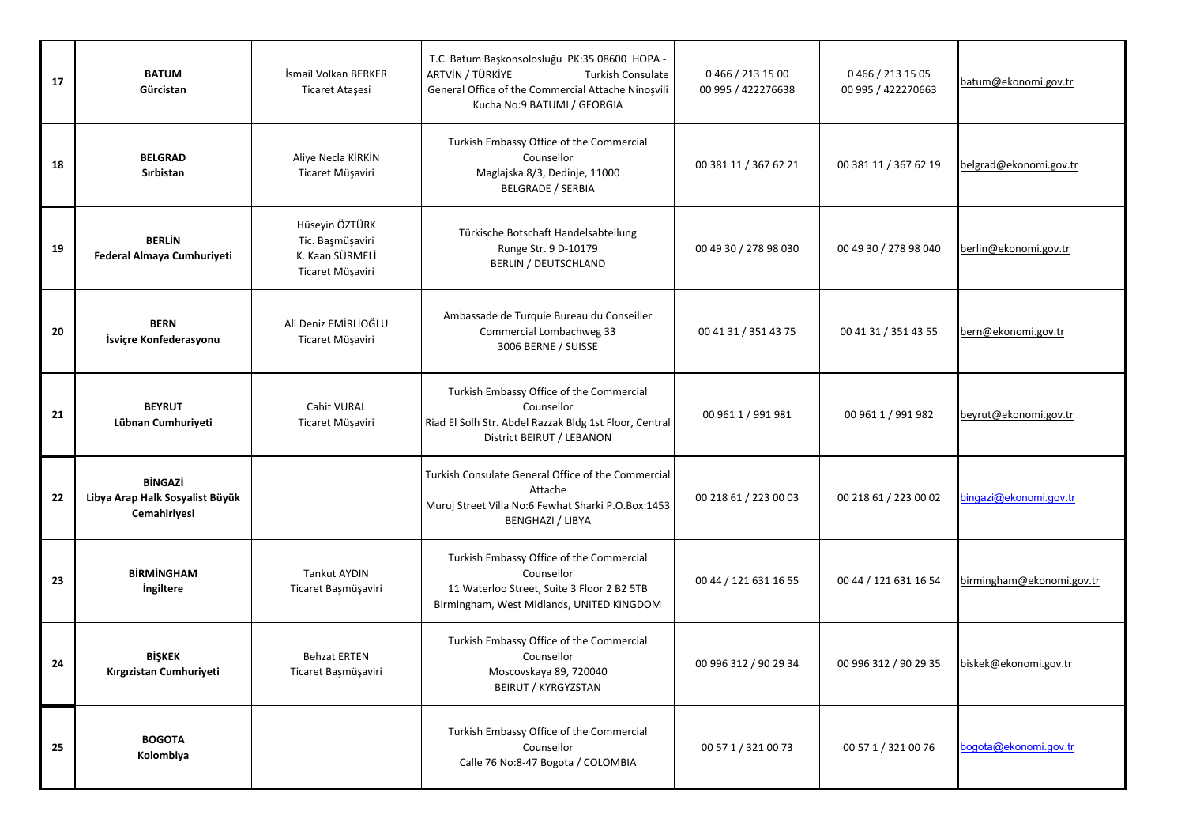| 17 | <b>BATUM</b><br>Gürcistan                                         | İsmail Volkan BERKER<br>Ticaret Ataşesi                                   | T.C. Batum Başkonsolosluğu PK:35 08600 HOPA -<br>ARTVİN / TÜRKİYE<br><b>Turkish Consulate</b><br>General Office of the Commercial Attache Ninoşvili<br>Kucha No:9 BATUMI / GEORGIA | 0 466 / 213 15 00<br>00 995 / 422276638 | 0 466 / 213 15 05<br>00 995 / 422270663 | batum@ekonomi.gov.tr      |
|----|-------------------------------------------------------------------|---------------------------------------------------------------------------|------------------------------------------------------------------------------------------------------------------------------------------------------------------------------------|-----------------------------------------|-----------------------------------------|---------------------------|
| 18 | <b>BELGRAD</b><br>Sırbistan                                       | Aliye Necla KİRKİN<br>Ticaret Müşaviri                                    | Turkish Embassy Office of the Commercial<br>Counsellor<br>Maglajska 8/3, Dedinje, 11000<br><b>BELGRADE / SERBIA</b>                                                                | 00 381 11 / 367 62 21                   | 00 381 11 / 367 62 19                   | belgrad@ekonomi.gov.tr    |
| 19 | <b>BERLIN</b><br>Federal Almaya Cumhuriyeti                       | Hüseyin ÖZTÜRK<br>Tic. Başmüşaviri<br>K. Kaan SÜRMELİ<br>Ticaret Müşaviri | Türkische Botschaft Handelsabteilung<br>Runge Str. 9 D-10179<br><b>BERLIN / DEUTSCHLAND</b>                                                                                        | 00 49 30 / 278 98 030                   | 00 49 30 / 278 98 040                   | berlin@ekonomi.gov.tr     |
| 20 | <b>BERN</b><br>İsviçre Konfederasyonu                             | Ali Deniz EMİRLİOĞLU<br>Ticaret Müşaviri                                  | Ambassade de Turquie Bureau du Conseiller<br>Commercial Lombachweg 33<br>3006 BERNE / SUISSE                                                                                       | 00 41 31 / 351 43 75                    | 00 41 31 / 351 43 55                    | bern@ekonomi.gov.tr       |
| 21 | <b>BEYRUT</b><br>Lübnan Cumhuriyeti                               | <b>Cahit VURAL</b><br>Ticaret Müşaviri                                    | Turkish Embassy Office of the Commercial<br>Counsellor<br>Riad El Solh Str. Abdel Razzak Bldg 1st Floor, Central<br>District BEIRUT / LEBANON                                      | 00 961 1 / 991 981                      | 00 961 1 / 991 982                      | beyrut@ekonomi.gov.tr     |
| 22 | <b>BİNGAZİ</b><br>Libya Arap Halk Sosyalist Büyük<br>Cemahiriyesi |                                                                           | Turkish Consulate General Office of the Commercial<br>Attache<br>Muruj Street Villa No:6 Fewhat Sharki P.O.Box:1453<br><b>BENGHAZI / LIBYA</b>                                     | 00 218 61 / 223 00 03                   | 00 218 61 / 223 00 02                   | bingazi@ekonomi.gov.tr    |
| 23 | <b>BİRMİNGHAM</b><br><b>ingiltere</b>                             | <b>Tankut AYDIN</b><br>Ticaret Başmüşaviri                                | Turkish Embassy Office of the Commercial<br>Counsellor<br>11 Waterloo Street, Suite 3 Floor 2 B2 5TB<br>Birmingham, West Midlands, UNITED KINGDOM                                  | 00 44 / 121 631 16 55                   | 00 44 / 121 631 16 54                   | birmingham@ekonomi.gov.tr |
| 24 | <b>BİŞKEK</b><br>Kırgızistan Cumhuriyeti                          | <b>Behzat ERTEN</b><br>Ticaret Başmüşaviri                                | Turkish Embassy Office of the Commercial<br>Counsellor<br>Moscovskaya 89, 720040<br><b>BEIRUT / KYRGYZSTAN</b>                                                                     | 00 996 312 / 90 29 34                   | 00 996 312 / 90 29 35                   | biskek@ekonomi.gov.tr     |
| 25 | <b>BOGOTA</b><br>Kolombiya                                        |                                                                           | Turkish Embassy Office of the Commercial<br>Counsellor<br>Calle 76 No:8-47 Bogota / COLOMBIA                                                                                       | 00 57 1 / 321 00 73                     | 00 57 1 / 321 00 76                     | bogota@ekonomi.gov.tr     |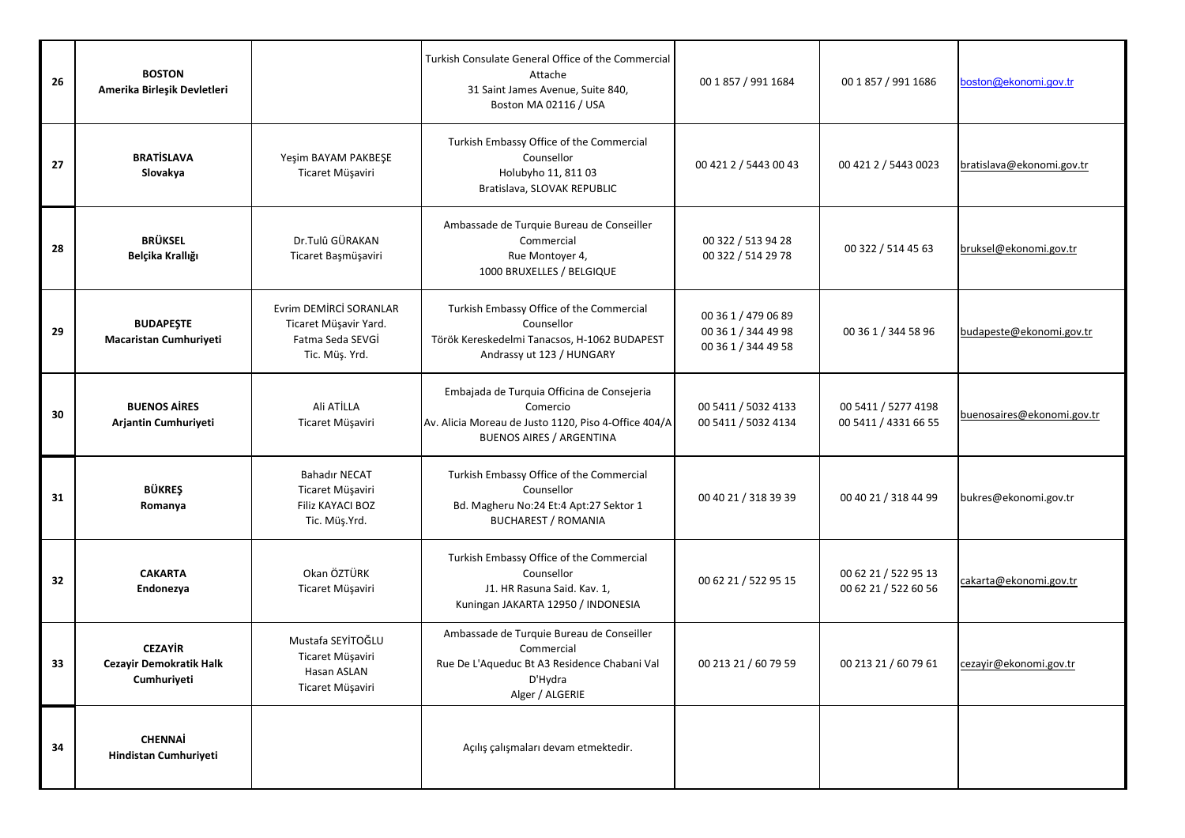| 26 | <b>BOSTON</b><br>Amerika Birleşik Devletleri                    |                                                                                       | Turkish Consulate General Office of the Commercial<br>Attache<br>31 Saint James Avenue, Suite 840,<br>Boston MA 02116 / USA                       | 00 1 857 / 991 1684                                               | 00 1 857 / 991 1686                          | boston@ekonomi.gov.tr      |
|----|-----------------------------------------------------------------|---------------------------------------------------------------------------------------|---------------------------------------------------------------------------------------------------------------------------------------------------|-------------------------------------------------------------------|----------------------------------------------|----------------------------|
| 27 | <b>BRATISLAVA</b><br>Slovakya                                   | Yeşim BAYAM PAKBEŞE<br>Ticaret Müşaviri                                               | Turkish Embassy Office of the Commercial<br>Counsellor<br>Holubyho 11, 811 03<br>Bratislava, SLOVAK REPUBLIC                                      | 00 421 2 / 5443 00 43                                             | 00 421 2 / 5443 0023                         | bratislava@ekonomi.gov.tr  |
| 28 | <b>BRÜKSEL</b><br>Belçika Krallığı                              | Dr.Tulû GÜRAKAN<br>Ticaret Başmüşaviri                                                | Ambassade de Turquie Bureau de Conseiller<br>Commercial<br>Rue Montoyer 4,<br>1000 BRUXELLES / BELGIQUE                                           | 00 322 / 513 94 28<br>00 322 / 514 29 78                          | 00 322 / 514 45 63                           | bruksel@ekonomi.gov.tr     |
| 29 | <b>BUDAPEŞTE</b><br><b>Macaristan Cumhuriyeti</b>               | Evrim DEMİRCİ SORANLAR<br>Ticaret Müşavir Yard.<br>Fatma Seda SEVGİ<br>Tic. Müş. Yrd. | Turkish Embassy Office of the Commercial<br>Counsellor<br>Török Kereskedelmi Tanacsos, H-1062 BUDAPEST<br>Andrassy ut 123 / HUNGARY               | 00 36 1 / 479 06 89<br>00 36 1 / 344 49 98<br>00 36 1 / 344 49 58 | 00 36 1 / 344 58 96                          | budapeste@ekonomi.gov.tr   |
| 30 | <b>BUENOS AIRES</b><br>Arjantin Cumhuriyeti                     | Ali ATİLLA<br>Ticaret Müşaviri                                                        | Embajada de Turquia Officina de Consejeria<br>Comercio<br>Av. Alicia Moreau de Justo 1120, Piso 4-Office 404/A<br><b>BUENOS AIRES / ARGENTINA</b> | 00 5411 / 5032 4133<br>00 5411 / 5032 4134                        | 00 5411 / 5277 4198<br>00 5411 / 4331 66 55  | buenosaires@ekonomi.gov.tr |
| 31 | <b>BÜKREŞ</b><br>Romanya                                        | <b>Bahadır NECAT</b><br>Ticaret Müşaviri<br>Filiz KAYACI BOZ<br>Tic. Müş.Yrd.         | Turkish Embassy Office of the Commercial<br>Counsellor<br>Bd. Magheru No:24 Et:4 Apt:27 Sektor 1<br><b>BUCHAREST / ROMANIA</b>                    | 00 40 21 / 318 39 39                                              | 00 40 21 / 318 44 99                         | bukres@ekonomi.gov.tr      |
| 32 | <b>CAKARTA</b><br>Endonezya                                     | Okan ÖZTÜRK<br>Ticaret Müşaviri                                                       | Turkish Embassy Office of the Commercial<br>Counsellor<br>J1. HR Rasuna Said. Kav. 1,<br>Kuningan JAKARTA 12950 / INDONESIA                       | 00 62 21 / 522 95 15                                              | 00 62 21 / 522 95 13<br>00 62 21 / 522 60 56 | cakarta@ekonomi.gov.tr     |
| 33 | <b>CEZAYİR</b><br><b>Cezayir Demokratik Halk</b><br>Cumhuriyeti | Mustafa SEYİTOĞLU<br>Ticaret Müşaviri<br>Hasan ASLAN<br>Ticaret Müşaviri              | Ambassade de Turquie Bureau de Conseiller<br>Commercial<br>Rue De L'Aqueduc Bt A3 Residence Chabani Val<br>D'Hydra<br>Alger / ALGERIE             | 00 213 21 / 60 79 59                                              | 00 213 21 / 60 79 61                         | cezayir@ekonomi.gov.tr     |
| 34 | <b>CHENNAİ</b><br>Hindistan Cumhuriyeti                         |                                                                                       | Açılış çalışmaları devam etmektedir.                                                                                                              |                                                                   |                                              |                            |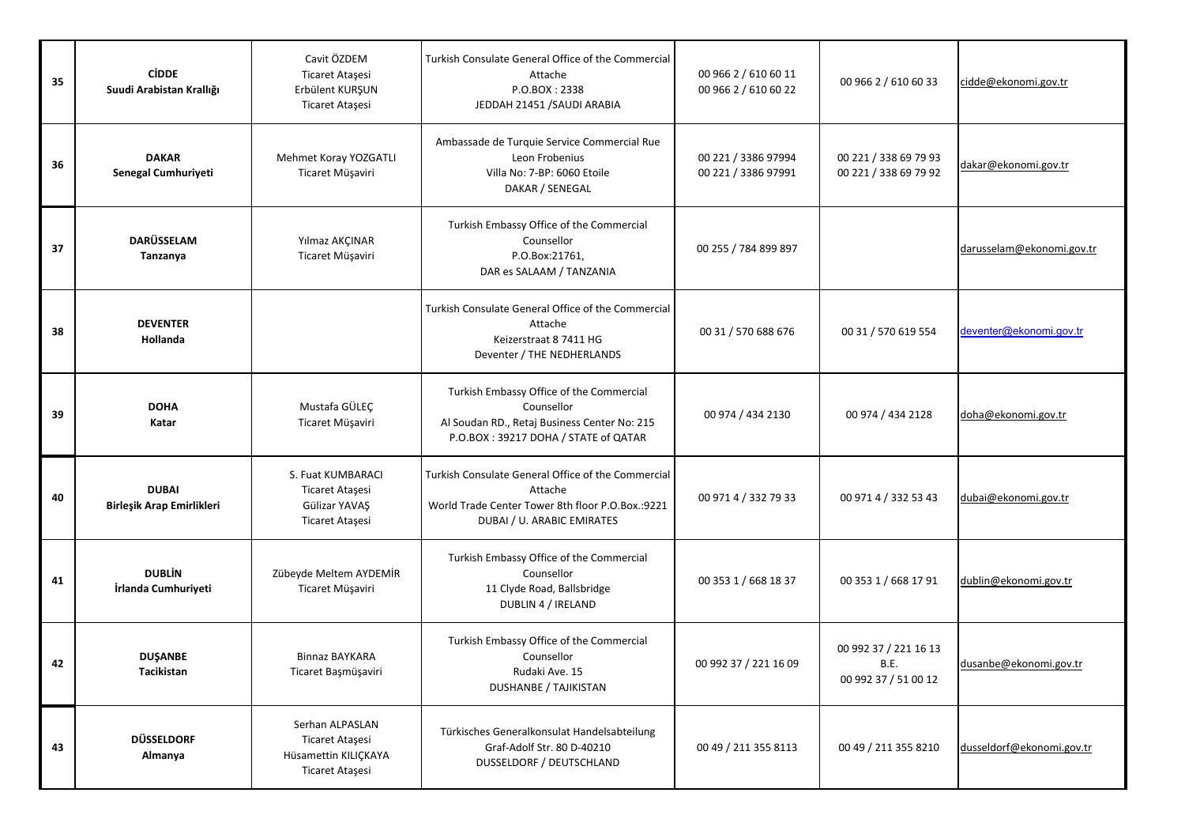| 35 | <b>CIDDE</b><br>Suudi Arabistan Krallığı         | Cavit ÖZDEM<br>Ticaret Ataşesi<br>Erbülent KURŞUN<br>Ticaret Ataşesi          | Turkish Consulate General Office of the Commercial<br>Attache<br>P.O.BOX: 2338<br>JEDDAH 21451 / SAUDI ARABIA                                   | 00 966 2 / 610 60 11<br>00 966 2 / 610 60 22 | 00 966 2 / 610 60 33                                  | cidde@ekonomi.gov.tr      |
|----|--------------------------------------------------|-------------------------------------------------------------------------------|-------------------------------------------------------------------------------------------------------------------------------------------------|----------------------------------------------|-------------------------------------------------------|---------------------------|
| 36 | <b>DAKAR</b><br>Senegal Cumhuriyeti              | Mehmet Koray YOZGATLI<br>Ticaret Müşaviri                                     | Ambassade de Turquie Service Commercial Rue<br>Leon Frobenius<br>Villa No: 7-BP: 6060 Etoile<br>DAKAR / SENEGAL                                 | 00 221 / 3386 97994<br>00 221 / 3386 97991   | 00 221 / 338 69 79 93<br>00 221 / 338 69 79 92        | dakar@ekonomi.gov.tr      |
| 37 | <b>DARÜSSELAM</b><br>Tanzanya                    | Yılmaz AKÇINAR<br>Ticaret Müşaviri                                            | Turkish Embassy Office of the Commercial<br>Counsellor<br>P.O.Box:21761,<br>DAR es SALAAM / TANZANIA                                            | 00 255 / 784 899 897                         |                                                       | darusselam@ekonomi.gov.tr |
| 38 | <b>DEVENTER</b><br>Hollanda                      |                                                                               | Turkish Consulate General Office of the Commercial<br>Attache<br>Keizerstraat 8 7411 HG<br>Deventer / THE NEDHERLANDS                           | 00 31 / 570 688 676                          | 00 31 / 570 619 554                                   | deventer@ekonomi.gov.tr   |
| 39 | <b>DOHA</b><br>Katar                             | Mustafa GÜLEÇ<br>Ticaret Müşaviri                                             | Turkish Embassy Office of the Commercial<br>Counsellor<br>Al Soudan RD., Retaj Business Center No: 215<br>P.O.BOX: 39217 DOHA / STATE of QATAR  | 00 974 / 434 2130                            | 00 974 / 434 2128                                     | doha@ekonomi.gov.tr       |
| 40 | <b>DUBAI</b><br><b>Birleşik Arap Emirlikleri</b> | S. Fuat KUMBARACI<br>Ticaret Ataşesi<br>Gülizar YAVAŞ<br>Ticaret Ataşesi      | Turkish Consulate General Office of the Commercial<br>Attache<br>World Trade Center Tower 8th floor P.O.Box.:9221<br>DUBAI / U. ARABIC EMIRATES | 00 971 4 / 332 79 33                         | 00 971 4 / 332 53 43                                  | dubai@ekonomi.gov.tr      |
| 41 | <b>DUBLIN</b><br>İrlanda Cumhuriyeti             | Zübeyde Meltem AYDEMİR<br>Ticaret Müşaviri                                    | Turkish Embassy Office of the Commercial<br>Counsellor<br>11 Clyde Road, Ballsbridge<br>DUBLIN 4 / IRELAND                                      | 00 353 1 / 668 18 37                         | 00 353 1 / 668 17 91                                  | dublin@ekonomi.gov.tr     |
| 42 | <b>DUŞANBE</b><br>Tacikistan                     | <b>Binnaz BAYKARA</b><br>Ticaret Başmüşaviri                                  | Turkish Embassy Office of the Commercial<br>Counsellor<br>Rudaki Ave. 15<br><b>DUSHANBE / TAJIKISTAN</b>                                        | 00 992 37 / 221 16 09                        | 00 992 37 / 221 16 13<br>B.E.<br>00 992 37 / 51 00 12 | dusanbe@ekonomi.gov.tr    |
| 43 | <b>DÜSSELDORF</b><br>Almanya                     | Serhan ALPASLAN<br>Ticaret Ataşesi<br>Hüsamettin KILIÇKAYA<br>Ticaret Ataşesi | Türkisches Generalkonsulat Handelsabteilung<br>Graf-Adolf Str. 80 D-40210<br>DUSSELDORF / DEUTSCHLAND                                           | 00 49 / 211 355 8113                         | 00 49 / 211 355 8210                                  | dusseldorf@ekonomi.gov.tr |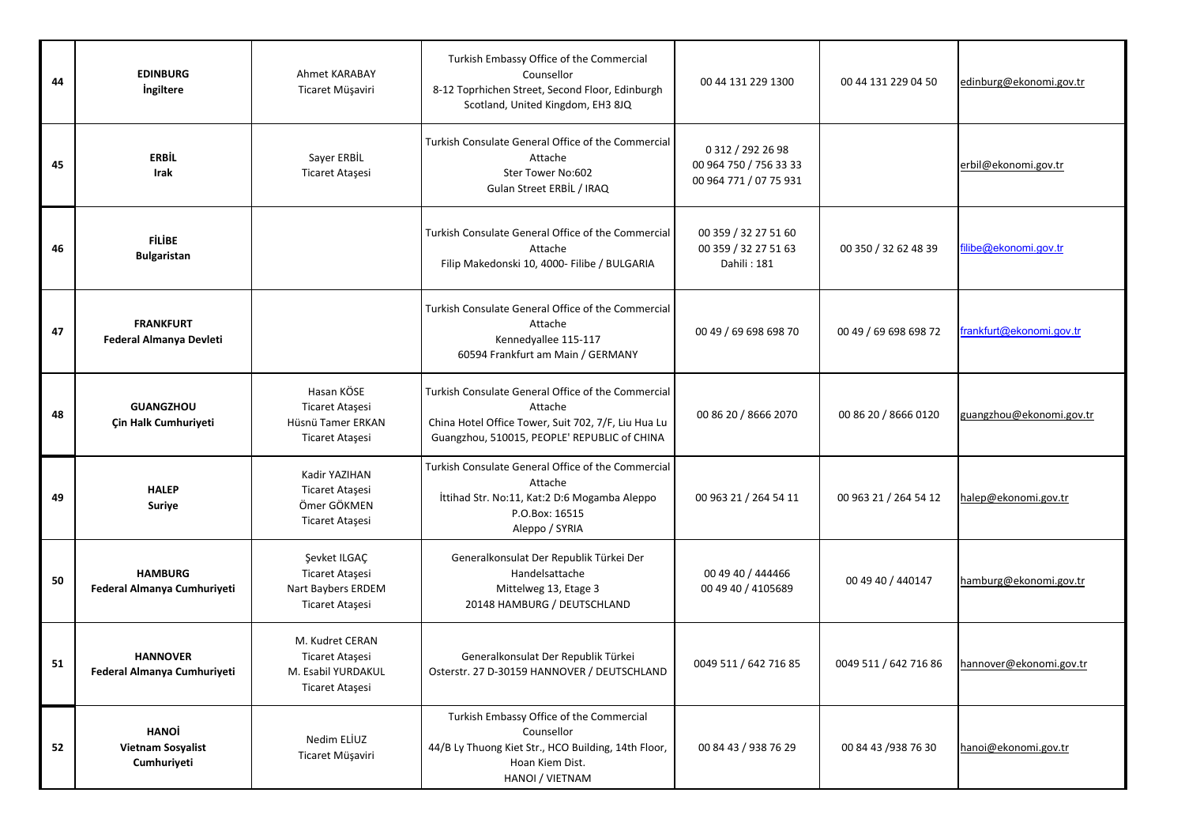| 44 | <b>EDINBURG</b><br><b>ingiltere</b>                     | <b>Ahmet KARABAY</b><br>Ticaret Müşaviri                                    | Turkish Embassy Office of the Commercial<br>Counsellor<br>8-12 Toprhichen Street, Second Floor, Edinburgh<br>Scotland, United Kingdom, EH3 8JQ                       | 00 44 131 229 1300                                                    | 00 44 131 229 04 50   | edinburg@ekonomi.gov.tr  |
|----|---------------------------------------------------------|-----------------------------------------------------------------------------|----------------------------------------------------------------------------------------------------------------------------------------------------------------------|-----------------------------------------------------------------------|-----------------------|--------------------------|
| 45 | <b>ERBIL</b><br><b>Irak</b>                             | Sayer ERBİL<br>Ticaret Ataşesi                                              | Turkish Consulate General Office of the Commercial<br>Attache<br>Ster Tower No:602<br>Gulan Street ERBİL / IRAQ                                                      | 0 312 / 292 26 98<br>00 964 750 / 756 33 33<br>00 964 771 / 07 75 931 |                       | erbil@ekonomi.gov.tr     |
| 46 | <b>FİLİBE</b><br><b>Bulgaristan</b>                     |                                                                             | Turkish Consulate General Office of the Commercial<br>Attache<br>Filip Makedonski 10, 4000- Filibe / BULGARIA                                                        | 00 359 / 32 27 51 60<br>00 359 / 32 27 51 63<br>Dahili: 181           | 00 350 / 32 62 48 39  | filibe@ekonomi.gov.tr    |
| 47 | <b>FRANKFURT</b><br><b>Federal Almanya Devleti</b>      |                                                                             | Turkish Consulate General Office of the Commercial<br>Attache<br>Kennedyallee 115-117<br>60594 Frankfurt am Main / GERMANY                                           | 00 49 / 69 698 698 70                                                 | 00 49 / 69 698 698 72 | frankfurt@ekonomi.gov.tr |
| 48 | <b>GUANGZHOU</b><br>Çin Halk Cumhuriyeti                | Hasan KÖSE<br>Ticaret Ataşesi<br>Hüsnü Tamer ERKAN<br>Ticaret Ataşesi       | Turkish Consulate General Office of the Commercial<br>Attache<br>China Hotel Office Tower, Suit 702, 7/F, Liu Hua Lu<br>Guangzhou, 510015, PEOPLE' REPUBLIC of CHINA | 00 86 20 / 8666 2070                                                  | 00 86 20 / 8666 0120  | guangzhou@ekonomi.gov.tr |
| 49 | <b>HALEP</b><br><b>Suriye</b>                           | Kadir YAZIHAN<br>Ticaret Ataşesi<br>Ömer GÖKMEN<br>Ticaret Ataşesi          | Turkish Consulate General Office of the Commercial<br>Attache<br>İttihad Str. No:11, Kat:2 D:6 Mogamba Aleppo<br>P.O.Box: 16515<br>Aleppo / SYRIA                    | 00 963 21 / 264 54 11                                                 | 00 963 21 / 264 54 12 | halep@ekonomi.gov.tr     |
| 50 | <b>HAMBURG</b><br>Federal Almanya Cumhuriyeti           | Şevket ILGAÇ<br>Ticaret Ataşesi<br>Nart Baybers ERDEM<br>Ticaret Ataşesi    | Generalkonsulat Der Republik Türkei Der<br>Handelsattache<br>Mittelweg 13, Etage 3<br>20148 HAMBURG / DEUTSCHLAND                                                    | 00 49 40 / 444466<br>00 49 40 / 4105689                               | 00 49 40 / 440147     | hamburg@ekonomi.gov.tr   |
| 51 | <b>HANNOVER</b><br>Federal Almanya Cumhuriyeti          | M. Kudret CERAN<br>Ticaret Ataşesi<br>M. Esabil YURDAKUL<br>Ticaret Ataşesi | Generalkonsulat Der Republik Türkei<br>Osterstr. 27 D-30159 HANNOVER / DEUTSCHLAND                                                                                   | 0049 511 / 642 716 85                                                 | 0049 511 / 642 716 86 | hannover@ekonomi.gov.tr  |
| 52 | <b>HANOI</b><br><b>Vietnam Sosyalist</b><br>Cumhuriyeti | Nedim ELİUZ<br>Ticaret Müşaviri                                             | Turkish Embassy Office of the Commercial<br>Counsellor<br>44/B Ly Thuong Kiet Str., HCO Building, 14th Floor,<br>Hoan Kiem Dist.<br>HANOI / VIETNAM                  | 00 84 43 / 938 76 29                                                  | 00 84 43 /938 76 30   | hanoi@ekonomi.gov.tr     |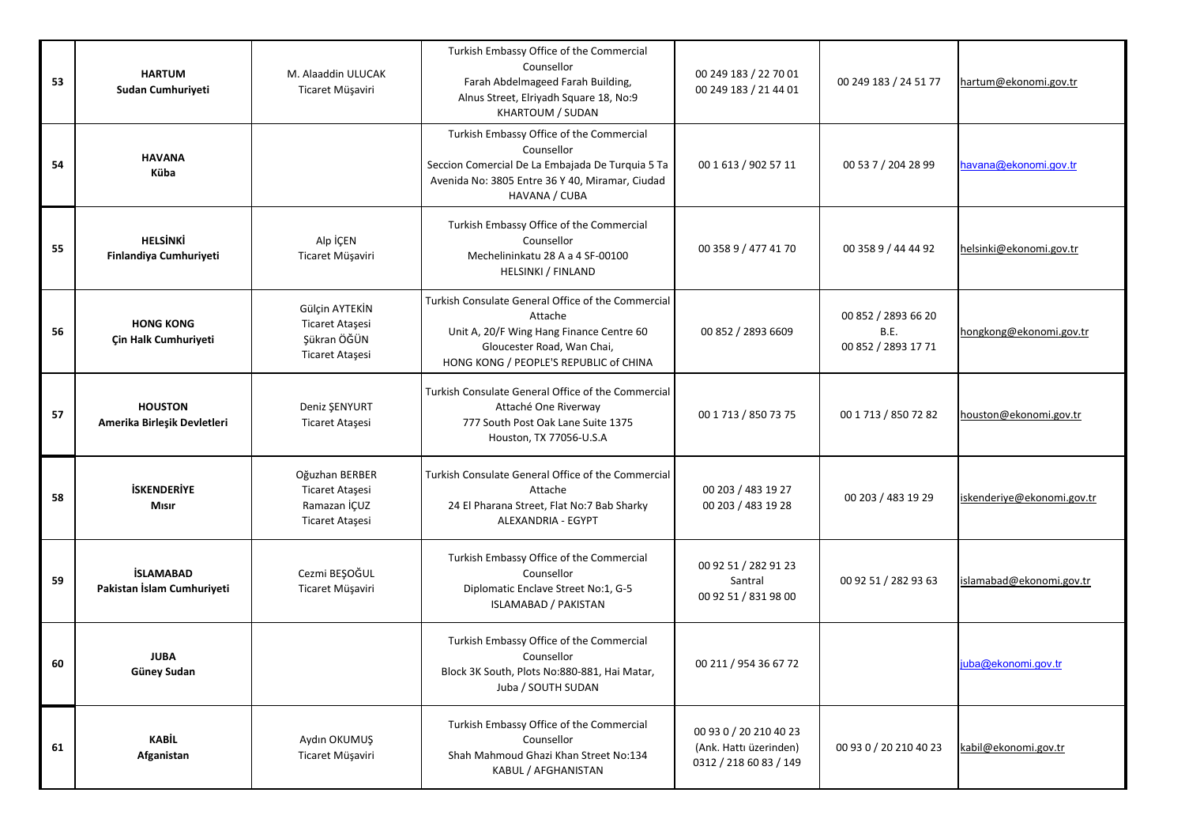| 53 | <b>HARTUM</b><br>Sudan Cumhuriyeti             | M. Alaaddin ULUCAK<br>Ticaret Müşaviri                               | Turkish Embassy Office of the Commercial<br>Counsellor<br>Farah Abdelmageed Farah Building,<br>Alnus Street, Elriyadh Square 18, No:9<br>KHARTOUM / SUDAN                         | 00 249 183 / 22 70 01<br>00 249 183 / 21 44 01                             | 00 249 183 / 24 51 77                              | hartum@ekonomi.gov.tr      |
|----|------------------------------------------------|----------------------------------------------------------------------|-----------------------------------------------------------------------------------------------------------------------------------------------------------------------------------|----------------------------------------------------------------------------|----------------------------------------------------|----------------------------|
| 54 | <b>HAVANA</b><br>Küba                          |                                                                      | Turkish Embassy Office of the Commercial<br>Counsellor<br>Seccion Comercial De La Embajada De Turquia 5 Ta<br>Avenida No: 3805 Entre 36 Y 40, Miramar, Ciudad<br>HAVANA / CUBA    | 00 1 613 / 902 57 11                                                       | 00 53 7 / 204 28 99                                | havana@ekonomi.gov.tr      |
| 55 | <b>HELSİNKİ</b><br>Finlandiya Cumhuriyeti      | Alp İÇEN<br>Ticaret Müşaviri                                         | Turkish Embassy Office of the Commercial<br>Counsellor<br>Mechelininkatu 28 A a 4 SF-00100<br><b>HELSINKI / FINLAND</b>                                                           | 00 358 9 / 477 41 70                                                       | 00 358 9 / 44 44 92                                | helsinki@ekonomi.gov.tr    |
| 56 | <b>HONG KONG</b><br>Çin Halk Cumhuriyeti       | Gülçin AYTEKİN<br>Ticaret Ataşesi<br>Şükran ÖĞÜN<br>Ticaret Ataşesi  | Turkish Consulate General Office of the Commercial<br>Attache<br>Unit A, 20/F Wing Hang Finance Centre 60<br>Gloucester Road, Wan Chai,<br>HONG KONG / PEOPLE'S REPUBLIC of CHINA | 00 852 / 2893 6609                                                         | 00 852 / 2893 66 20<br>B.E.<br>00 852 / 2893 17 71 | hongkong@ekonomi.gov.tr    |
| 57 | <b>HOUSTON</b><br>Amerika Birleşik Devletleri  | Deniz ŞENYURT<br>Ticaret Ataşesi                                     | Turkish Consulate General Office of the Commercial<br>Attaché One Riverway<br>777 South Post Oak Lane Suite 1375<br>Houston, TX 77056-U.S.A                                       | 00 1 713 / 850 73 75                                                       | 00 1 713 / 850 72 82                               | nouston@ekonomi.gov.tr     |
| 58 | <b>İSKENDERİYE</b><br><b>Misir</b>             | Oğuzhan BERBER<br>Ticaret Ataşesi<br>Ramazan İÇUZ<br>Ticaret Ataşesi | Turkish Consulate General Office of the Commercial<br>Attache<br>24 El Pharana Street, Flat No:7 Bab Sharky<br>ALEXANDRIA - EGYPT                                                 | 00 203 / 483 19 27<br>00 203 / 483 19 28                                   | 00 203 / 483 19 29                                 | iskenderiye@ekonomi.gov.tr |
| 59 | <b>İSLAMABAD</b><br>Pakistan İslam Cumhuriyeti | Cezmi BEŞOĞUL<br>Ticaret Müşaviri                                    | Turkish Embassy Office of the Commercial<br>Counsellor<br>Diplomatic Enclave Street No:1, G-5<br><b>ISLAMABAD / PAKISTAN</b>                                                      | 00 92 51 / 282 91 23<br>Santral<br>00 92 51 / 831 98 00                    | 00 92 51 / 282 93 63                               | islamabad@ekonomi.gov.tr   |
| 60 | <b>JUBA</b><br><b>Güney Sudan</b>              |                                                                      | Turkish Embassy Office of the Commercial<br>Counsellor<br>Block 3K South, Plots No:880-881, Hai Matar,<br>Juba / SOUTH SUDAN                                                      | 00 211 / 954 36 67 72                                                      |                                                    | juba@ekonomi.gov.tr        |
| 61 | <b>KABİL</b><br>Afganistan                     | Aydın OKUMUŞ<br>Ticaret Müşaviri                                     | Turkish Embassy Office of the Commercial<br>Counsellor<br>Shah Mahmoud Ghazi Khan Street No:134<br>KABUL / AFGHANISTAN                                                            | 00 93 0 / 20 210 40 23<br>(Ank. Hattı üzerinden)<br>0312 / 218 60 83 / 149 | 00 93 0 / 20 210 40 23                             | kabil@ekonomi.gov.tr       |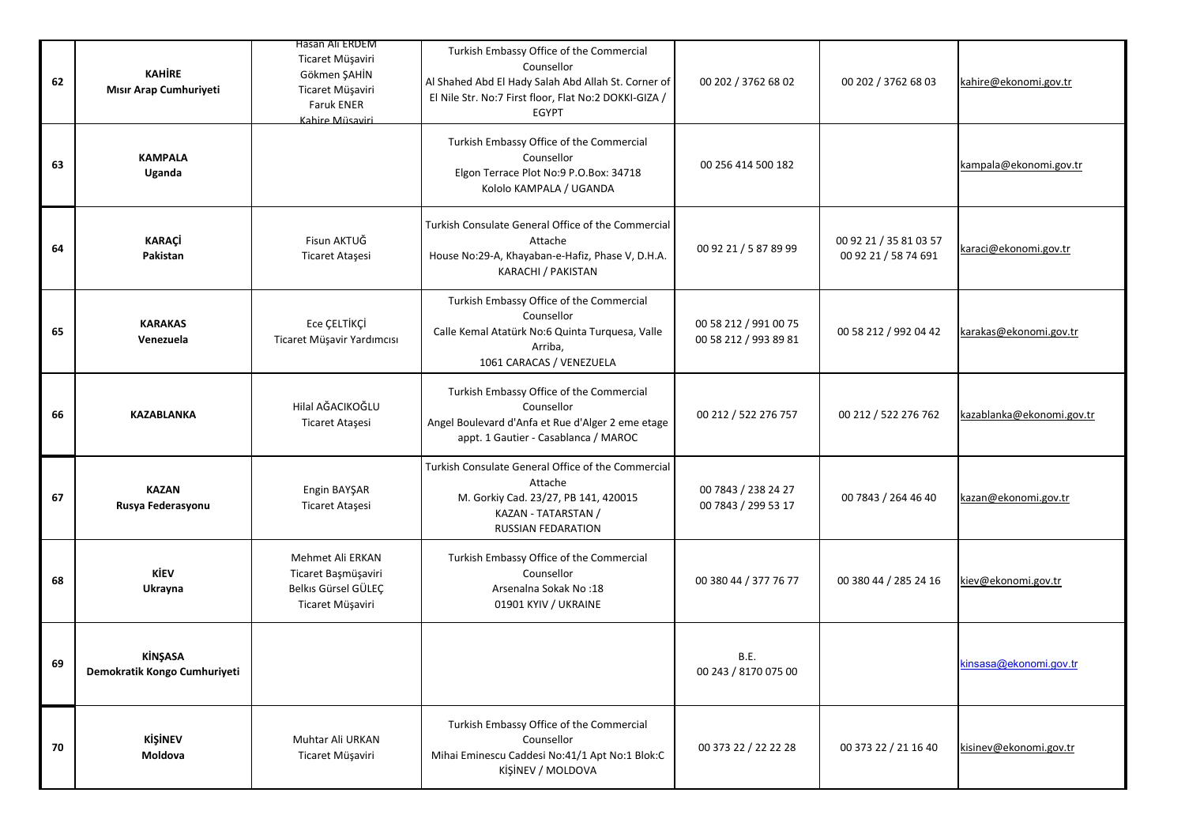| 62 | <b>KAHİRE</b><br>Mısır Arap Cumhuriyeti        | <b>Hasan All ERDEM</b><br>Ticaret Müşaviri<br>Gökmen ŞAHİN<br>Ticaret Müşaviri<br><b>Faruk ENER</b><br>Kahire Müsaviri | Turkish Embassy Office of the Commercial<br>Counsellor<br>Al Shahed Abd El Hady Salah Abd Allah St. Corner of<br>El Nile Str. No:7 First floor, Flat No:2 DOKKI-GIZA /<br><b>EGYPT</b> | 00 202 / 3762 68 02                            | 00 202 / 3762 68 03                            | kahire@ekonomi.gov.tr     |
|----|------------------------------------------------|------------------------------------------------------------------------------------------------------------------------|----------------------------------------------------------------------------------------------------------------------------------------------------------------------------------------|------------------------------------------------|------------------------------------------------|---------------------------|
| 63 | <b>KAMPALA</b><br>Uganda                       |                                                                                                                        | Turkish Embassy Office of the Commercial<br>Counsellor<br>Elgon Terrace Plot No:9 P.O.Box: 34718<br>Kololo KAMPALA / UGANDA                                                            | 00 256 414 500 182                             |                                                | kampala@ekonomi.gov.tr    |
| 64 | <b>KARAÇİ</b><br>Pakistan                      | Fisun AKTUĞ<br>Ticaret Ataşesi                                                                                         | Turkish Consulate General Office of the Commercial<br>Attache<br>House No:29-A, Khayaban-e-Hafiz, Phase V, D.H.A.<br><b>KARACHI / PAKISTAN</b>                                         | 00 92 21 / 5 87 89 99                          | 00 92 21 / 35 81 03 57<br>00 92 21 / 58 74 691 | karaci@ekonomi.gov.tr     |
| 65 | <b>KARAKAS</b><br>Venezuela                    | Ece ÇELTİKÇİ<br>Ticaret Müşavir Yardımcısı                                                                             | Turkish Embassy Office of the Commercial<br>Counsellor<br>Calle Kemal Atatürk No:6 Quinta Turquesa, Valle<br>Arriba,<br>1061 CARACAS / VENEZUELA                                       | 00 58 212 / 991 00 75<br>00 58 212 / 993 89 81 | 00 58 212 / 992 04 42                          | karakas@ekonomi.gov.tr    |
| 66 | <b>KAZABLANKA</b>                              | Hilal AĞACIKOĞLU<br>Ticaret Ataşesi                                                                                    | Turkish Embassy Office of the Commercial<br>Counsellor<br>Angel Boulevard d'Anfa et Rue d'Alger 2 eme etage<br>appt. 1 Gautier - Casablanca / MAROC                                    | 00 212 / 522 276 757                           | 00 212 / 522 276 762                           | kazablanka@ekonomi.gov.tr |
| 67 | <b>KAZAN</b><br>Rusya Federasyonu              | Engin BAYŞAR<br>Ticaret Ataşesi                                                                                        | Turkish Consulate General Office of the Commercial<br>Attache<br>M. Gorkiy Cad. 23/27, PB 141, 420015<br>KAZAN - TATARSTAN /<br><b>RUSSIAN FEDARATION</b>                              | 00 7843 / 238 24 27<br>00 7843 / 299 53 17     | 00 7843 / 264 46 40                            | kazan@ekonomi.gov.tr      |
| 68 | <b>KİEV</b><br>Ukrayna                         | Mehmet Ali ERKAN<br>Ticaret Başmüşaviri<br>Belkis Gürsel GÜLEÇ<br>Ticaret Müşaviri                                     | Turkish Embassy Office of the Commercial<br>Counsellor<br>Arsenalna Sokak No:18<br>01901 KYIV / UKRAINE                                                                                | 00 380 44 / 377 76 77                          | 00 380 44 / 285 24 16                          | kiev@ekonomi.gov.tr       |
| 69 | <b>KİNŞASA</b><br>Demokratik Kongo Cumhuriyeti |                                                                                                                        |                                                                                                                                                                                        | B.E.<br>00 243 / 8170 075 00                   |                                                | kinsasa@ekonomi.gov.tr    |
| 70 | <b>KİŞİNEV</b><br>Moldova                      | Muhtar Ali URKAN<br>Ticaret Müşaviri                                                                                   | Turkish Embassy Office of the Commercial<br>Counsellor<br>Mihai Eminescu Caddesi No:41/1 Apt No:1 Blok:C<br>KİŞİNEV / MOLDOVA                                                          | 00 373 22 / 22 22 28                           | 00 373 22 / 21 16 40                           | kisinev@ekonomi.gov.tr    |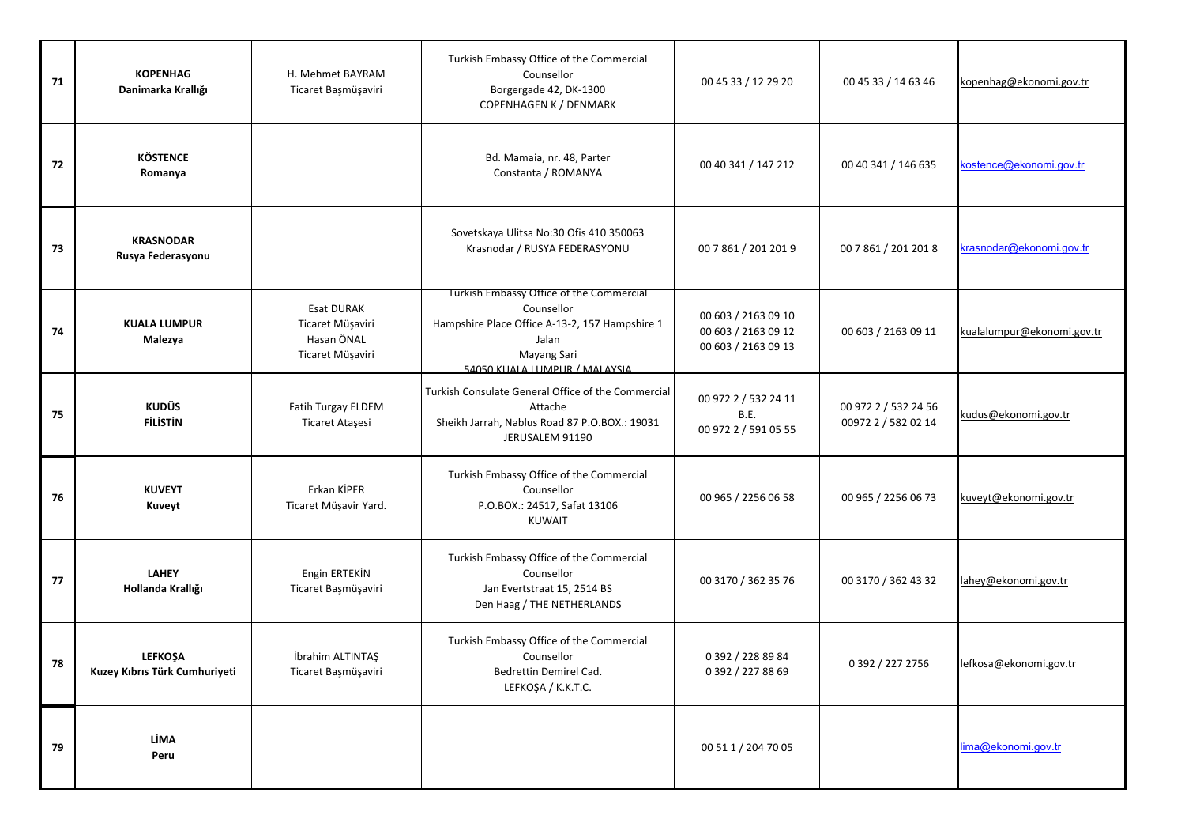| 71 | <b>KOPENHAG</b><br>Danimarka Krallığı           | H. Mehmet BAYRAM<br>Ticaret Başmüşaviri                                 | Turkish Embassy Office of the Commercial<br>Counsellor<br>Borgergade 42, DK-1300<br><b>COPENHAGEN K / DENMARK</b>                                                 | 00 45 33 / 12 29 20                                               | 00 45 33 / 14 63 46                         | kopenhag@ekonomi.gov.tr    |
|----|-------------------------------------------------|-------------------------------------------------------------------------|-------------------------------------------------------------------------------------------------------------------------------------------------------------------|-------------------------------------------------------------------|---------------------------------------------|----------------------------|
| 72 | <b>KÖSTENCE</b><br>Romanya                      |                                                                         | Bd. Mamaia, nr. 48, Parter<br>Constanta / ROMANYA                                                                                                                 | 00 40 341 / 147 212                                               | 00 40 341 / 146 635                         | kostence@ekonomi.gov.tr    |
| 73 | <b>KRASNODAR</b><br>Rusya Federasyonu           |                                                                         | Sovetskaya Ulitsa No:30 Ofis 410 350063<br>Krasnodar / RUSYA FEDERASYONU                                                                                          | 00 7 861 / 201 201 9                                              | 00 7 861 / 201 201 8                        | krasnodar@ekonomi.gov.tr   |
| 74 | <b>KUALA LUMPUR</b><br>Malezya                  | <b>Esat DURAK</b><br>Ticaret Müşaviri<br>Hasan ÖNAL<br>Ticaret Müşaviri | Turkish Embassy Office of the Commercial<br>Counsellor<br>Hampshire Place Office A-13-2, 157 Hampshire 1<br>Jalan<br>Mayang Sari<br>54050 KUALA LUMPUR / MALAYSIA | 00 603 / 2163 09 10<br>00 603 / 2163 09 12<br>00 603 / 2163 09 13 | 00 603 / 2163 09 11                         | kualalumpur@ekonomi.gov.tr |
| 75 | <b>KUDÜS</b><br><b>FILISTIN</b>                 | Fatih Turgay ELDEM<br>Ticaret Ataşesi                                   | Turkish Consulate General Office of the Commercial<br>Attache<br>Sheikh Jarrah, Nablus Road 87 P.O.BOX.: 19031<br>JERUSALEM 91190                                 | 00 972 2 / 532 24 11<br>B.E.<br>00 972 2 / 591 05 55              | 00 972 2 / 532 24 56<br>00972 2 / 582 02 14 | kudus@ekonomi.gov.tr       |
| 76 | <b>KUVEYT</b><br>Kuveyt                         | Erkan KİPER<br>Ticaret Müşavir Yard.                                    | Turkish Embassy Office of the Commercial<br>Counsellor<br>P.O.BOX.: 24517, Safat 13106<br><b>KUWAIT</b>                                                           | 00 965 / 2256 06 58                                               | 00 965 / 2256 06 73                         | kuveyt@ekonomi.gov.tr      |
| 77 | <b>LAHEY</b><br>Hollanda Krallığı               | Engin ERTEKİN<br>Ticaret Başmüşaviri                                    | Turkish Embassy Office of the Commercial<br>Counsellor<br>Jan Evertstraat 15, 2514 BS<br>Den Haag / THE NETHERLANDS                                               | 00 3170 / 362 35 76                                               | 00 3170 / 362 43 32                         | lahey@ekonomi.gov.tr       |
| 78 | <b>LEFKOŞA</b><br>Kuzey Kıbrıs Türk Cumhuriyeti | İbrahim ALTINTAŞ<br>Ticaret Başmüşaviri                                 | Turkish Embassy Office of the Commercial<br>Counsellor<br>Bedrettin Demirel Cad.<br>LEFKOŞA / K.K.T.C.                                                            | 0 392 / 228 89 84<br>0 392 / 227 88 69                            | 0 392 / 227 2756                            | lefkosa@ekonomi.gov.tr     |
| 79 | LİMA<br>Peru                                    |                                                                         |                                                                                                                                                                   | 00 51 1 / 204 70 05                                               |                                             | lima@ekonomi.gov.tr        |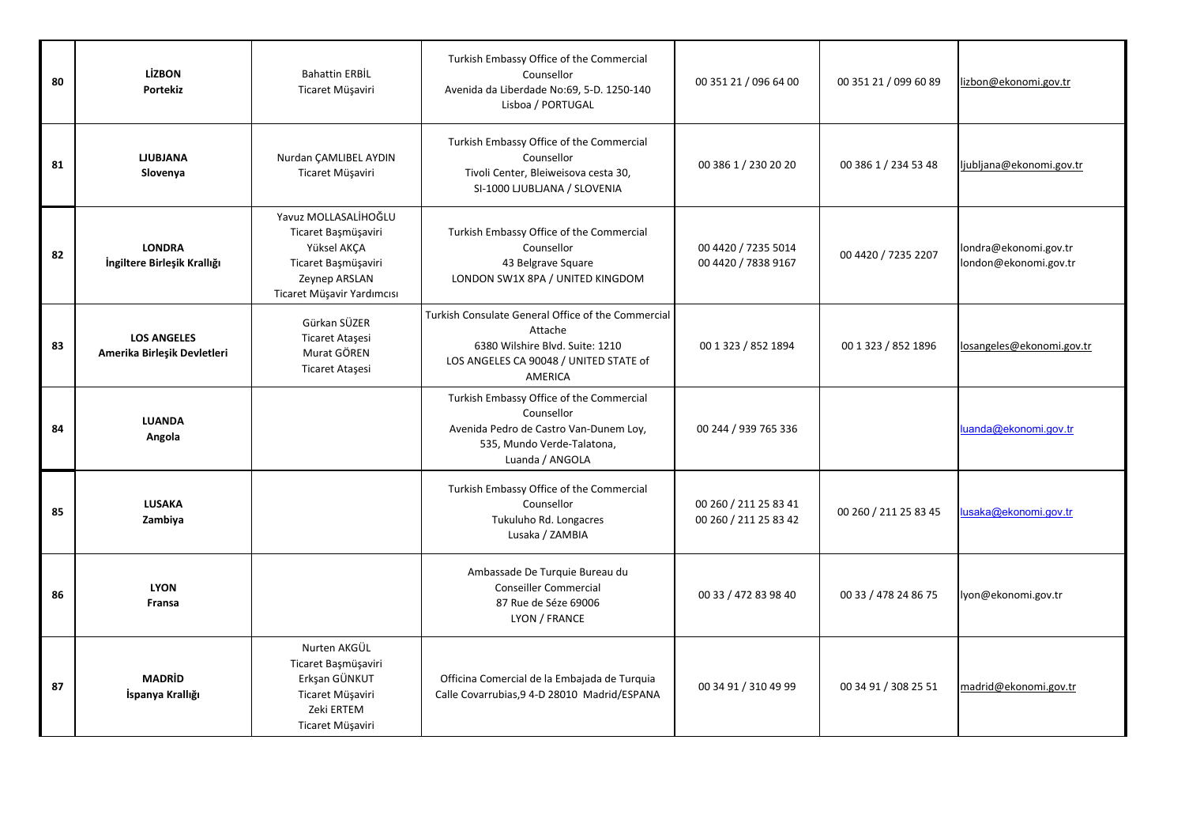| 80 | <b>LİZBON</b><br><b>Portekiz</b>                  | <b>Bahattin ERBİL</b><br>Ticaret Müşaviri                                                                                        | Turkish Embassy Office of the Commercial<br>Counsellor<br>Avenida da Liberdade No:69, 5-D. 1250-140<br>Lisboa / PORTUGAL                              | 00 351 21 / 096 64 00                          | 00 351 21 / 099 60 89 | lizbon@ekonomi.gov.tr                          |
|----|---------------------------------------------------|----------------------------------------------------------------------------------------------------------------------------------|-------------------------------------------------------------------------------------------------------------------------------------------------------|------------------------------------------------|-----------------------|------------------------------------------------|
| 81 | <b>LJUBJANA</b><br>Slovenya                       | Nurdan CAMLIBEL AYDIN<br>Ticaret Müşaviri                                                                                        | Turkish Embassy Office of the Commercial<br>Counsellor<br>Tivoli Center, Bleiweisova cesta 30,<br>SI-1000 LJUBLJANA / SLOVENIA                        | 00 386 1 / 230 20 20                           | 00 386 1 / 234 53 48  | jubljana@ekonomi.gov.tr                        |
| 82 | <b>LONDRA</b><br>İngiltere Birleşik Krallığı      | Yavuz MOLLASALİHOĞLU<br>Ticaret Başmüşaviri<br>Yüksel AKÇA<br>Ticaret Başmüşaviri<br>Zeynep ARSLAN<br>Ticaret Müşavir Yardımcısı | Turkish Embassy Office of the Commercial<br>Counsellor<br>43 Belgrave Square<br>LONDON SW1X 8PA / UNITED KINGDOM                                      | 00 4420 / 7235 5014<br>00 4420 / 7838 9167     | 00 4420 / 7235 2207   | londra@ekonomi.gov.tr<br>london@ekonomi.gov.tr |
| 83 | <b>LOS ANGELES</b><br>Amerika Birleşik Devletleri | Gürkan SÜZER<br>Ticaret Ataşesi<br>Murat GÖREN<br>Ticaret Ataşesi                                                                | Turkish Consulate General Office of the Commercial<br>Attache<br>6380 Wilshire Blvd. Suite: 1210<br>LOS ANGELES CA 90048 / UNITED STATE of<br>AMERICA | 00 1 323 / 852 1894                            | 00 1 323 / 852 1896   | losangeles@ekonomi.gov.tr                      |
| 84 | <b>LUANDA</b><br>Angola                           |                                                                                                                                  | Turkish Embassy Office of the Commercial<br>Counsellor<br>Avenida Pedro de Castro Van-Dunem Loy,<br>535, Mundo Verde-Talatona,<br>Luanda / ANGOLA     | 00 244 / 939 765 336                           |                       | luanda@ekonomi.gov.tr                          |
| 85 | <b>LUSAKA</b><br>Zambiya                          |                                                                                                                                  | Turkish Embassy Office of the Commercial<br>Counsellor<br>Tukuluho Rd. Longacres<br>Lusaka / ZAMBIA                                                   | 00 260 / 211 25 83 41<br>00 260 / 211 25 83 42 | 00 260 / 211 25 83 45 | lusaka@ekonomi.gov.tr                          |
| 86 | <b>LYON</b><br><b>Fransa</b>                      |                                                                                                                                  | Ambassade De Turquie Bureau du<br><b>Conseiller Commercial</b><br>87 Rue de Séze 69006<br>LYON / FRANCE                                               | 00 33 / 472 83 98 40                           | 00 33 / 478 24 86 75  | lyon@ekonomi.gov.tr                            |
| 87 | <b>MADRID</b><br>İspanya Krallığı                 | Nurten AKGÜL<br>Ticaret Başmüşaviri<br>Erkşan GÜNKUT<br>Ticaret Müşaviri<br>Zeki ERTEM<br>Ticaret Müşaviri                       | Officina Comercial de la Embajada de Turquia<br>Calle Covarrubias, 94-D 28010 Madrid/ESPANA                                                           | 00 34 91 / 310 49 99                           | 00 34 91 / 308 25 51  | madrid@ekonomi.gov.tr                          |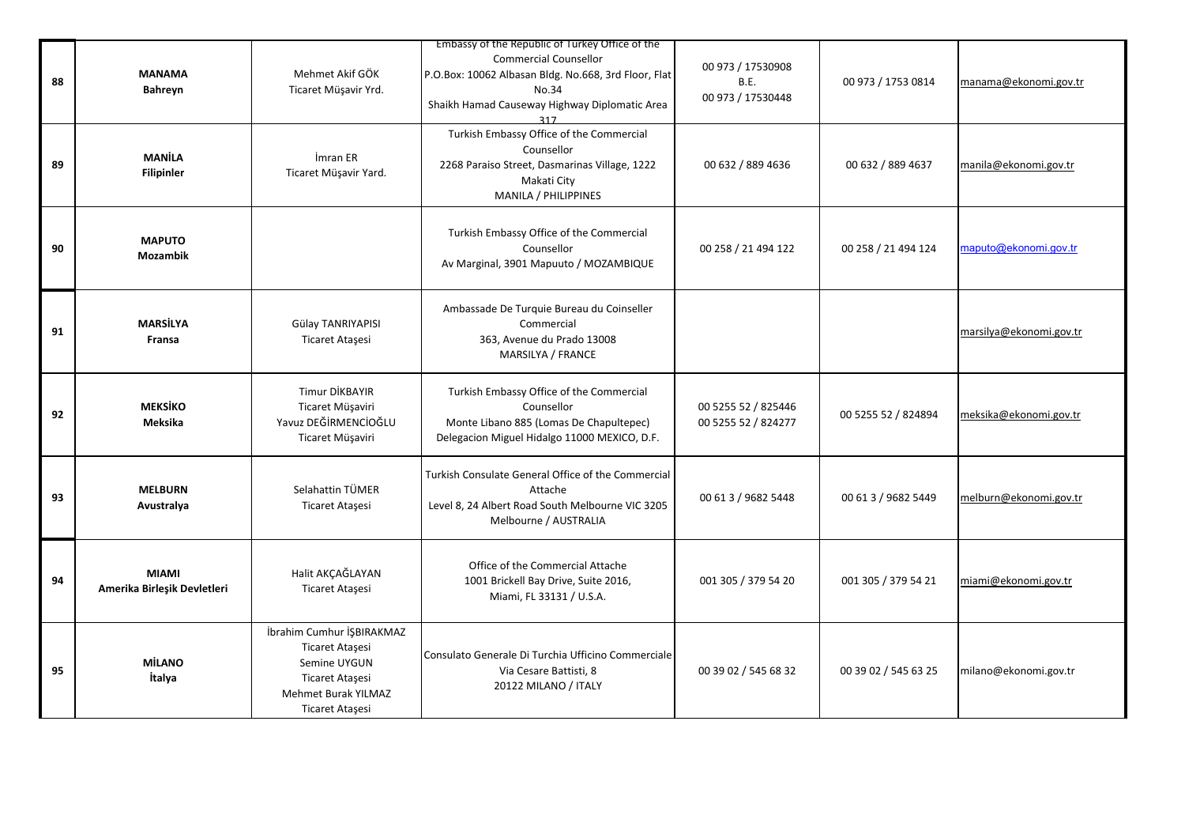| 88 | <b>MANAMA</b><br>Bahreyn                    | Mehmet Akif GÖK<br>Ticaret Müşavir Yrd.                                                                                   | Embassy of the Republic of Turkey Office of the<br><b>Commercial Counsellor</b><br>P.O.Box: 10062 Albasan Bldg. No.668, 3rd Floor, Flat<br>No.34<br>Shaikh Hamad Causeway Highway Diplomatic Area<br>317 | 00 973 / 17530908<br>B.E.<br>00 973 / 17530448 | 00 973 / 1753 0814   | manama@ekonomi.gov.tr   |
|----|---------------------------------------------|---------------------------------------------------------------------------------------------------------------------------|----------------------------------------------------------------------------------------------------------------------------------------------------------------------------------------------------------|------------------------------------------------|----------------------|-------------------------|
| 89 | <b>MANİLA</b><br><b>Filipinler</b>          | Imran ER<br>Ticaret Müşavir Yard.                                                                                         | Turkish Embassy Office of the Commercial<br>Counsellor<br>2268 Paraiso Street, Dasmarinas Village, 1222<br>Makati City<br>MANILA / PHILIPPINES                                                           | 00 632 / 889 4636                              | 00 632 / 889 4637    | manila@ekonomi.gov.tr   |
| 90 | <b>MAPUTO</b><br><b>Mozambik</b>            |                                                                                                                           | Turkish Embassy Office of the Commercial<br>Counsellor<br>Av Marginal, 3901 Mapuuto / MOZAMBIQUE                                                                                                         | 00 258 / 21 494 122                            | 00 258 / 21 494 124  | maputo@ekonomi.gov.tr   |
| 91 | <b>MARSİLYA</b><br>Fransa                   | Gülay TANRIYAPISI<br>Ticaret Ataşesi                                                                                      | Ambassade De Turquie Bureau du Coinseller<br>Commercial<br>363, Avenue du Prado 13008<br>MARSILYA / FRANCE                                                                                               |                                                |                      | marsilya@ekonomi.gov.tr |
| 92 | <b>MEKSİKO</b><br><b>Meksika</b>            | <b>Timur DİKBAYIR</b><br>Ticaret Müşaviri<br>Yavuz DEĞİRMENCİOĞLU<br>Ticaret Müşaviri                                     | Turkish Embassy Office of the Commercial<br>Counsellor<br>Monte Libano 885 (Lomas De Chapultepec)<br>Delegacion Miguel Hidalgo 11000 MEXICO, D.F.                                                        | 00 5255 52 / 825446<br>00 5255 52 / 824277     | 00 5255 52 / 824894  | meksika@ekonomi.gov.tr  |
| 93 | <b>MELBURN</b><br>Avustralya                | Selahattin TÜMER<br>Ticaret Ataşesi                                                                                       | Turkish Consulate General Office of the Commercial<br>Attache<br>Level 8, 24 Albert Road South Melbourne VIC 3205<br>Melbourne / AUSTRALIA                                                               | 00 61 3 / 9682 5448                            | 00 61 3 / 9682 5449  | melburn@ekonomi.gov.tr  |
| 94 | <b>MIAMI</b><br>Amerika Birleşik Devletleri | Halit AKÇAĞLAYAN<br>Ticaret Ataşesi                                                                                       | Office of the Commercial Attache<br>1001 Brickell Bay Drive, Suite 2016,<br>Miami, FL 33131 / U.S.A.                                                                                                     | 001 305 / 379 54 20                            | 001 305 / 379 54 21  | miami@ekonomi.gov.tr    |
| 95 | <b>MİLANO</b><br>İtalya                     | İbrahim Cumhur İŞBIRAKMAZ<br>Ticaret Ataşesi<br>Semine UYGUN<br>Ticaret Ataşesi<br>Mehmet Burak YILMAZ<br>Ticaret Ataşesi | Consulato Generale Di Turchia Ufficino Commerciale<br>Via Cesare Battisti, 8<br>20122 MILANO / ITALY                                                                                                     | 00 39 02 / 545 68 32                           | 00 39 02 / 545 63 25 | milano@ekonomi.gov.tr   |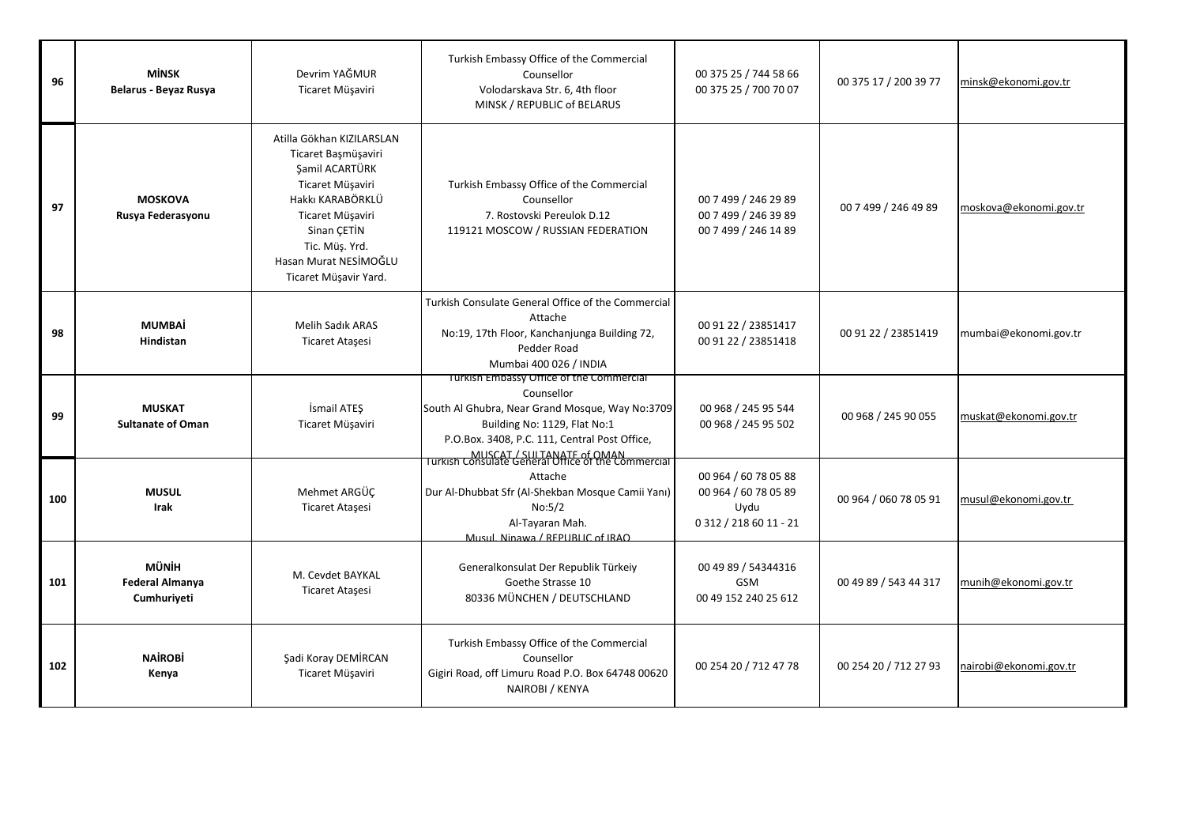| 96  | <b>MİNSK</b><br><b>Belarus - Beyaz Rusya</b>          | Devrim YAĞMUR<br>Ticaret Müşaviri                                                                                                                                                                                 | Turkish Embassy Office of the Commercial<br>Counsellor<br>Volodarskava Str. 6, 4th floor<br>MINSK / REPUBLIC of BELARUS                                                                                                                                                         | 00 375 25 / 744 58 66<br>00 375 25 / 700 70 07                                 | 00 375 17 / 200 39 77 | minsk@ekonomi.gov.tr   |
|-----|-------------------------------------------------------|-------------------------------------------------------------------------------------------------------------------------------------------------------------------------------------------------------------------|---------------------------------------------------------------------------------------------------------------------------------------------------------------------------------------------------------------------------------------------------------------------------------|--------------------------------------------------------------------------------|-----------------------|------------------------|
| 97  | <b>MOSKOVA</b><br>Rusya Federasyonu                   | Atilla Gökhan KIZILARSLAN<br>Ticaret Başmüşaviri<br>Şamil ACARTÜRK<br>Ticaret Müşaviri<br>Hakkı KARABÖRKLÜ<br>Ticaret Müşaviri<br>Sinan ÇETİN<br>Tic. Müş. Yrd.<br>Hasan Murat NESİMOĞLU<br>Ticaret Müşavir Yard. | Turkish Embassy Office of the Commercial<br>Counsellor<br>7. Rostovski Pereulok D.12<br>119121 MOSCOW / RUSSIAN FEDERATION                                                                                                                                                      | 00 7 499 / 246 29 89<br>00 7 499 / 246 39 89<br>00 7 499 / 246 14 89           | 00 7 499 / 246 49 89  | noskova@ekonomi.gov.tr |
| 98  | <b>MUMBAİ</b><br>Hindistan                            | Melih Sadık ARAS<br>Ticaret Ataşesi                                                                                                                                                                               | Turkish Consulate General Office of the Commercial<br>Attache<br>No:19, 17th Floor, Kanchanjunga Building 72,<br>Pedder Road<br>Mumbai 400 026 / INDIA                                                                                                                          | 00 91 22 / 23851417<br>00 91 22 / 23851418                                     | 00 91 22 / 23851419   | mumbai@ekonomi.gov.tr  |
| 99  | <b>MUSKAT</b><br><b>Sultanate of Oman</b>             | İsmail ATEŞ<br>Ticaret Müşaviri                                                                                                                                                                                   | Turkish Embassy Office of the Commercial<br>Counsellor<br>South Al Ghubra, Near Grand Mosque, Way No:3709<br>Building No: 1129, Flat No:1<br>P.O.Box. 3408, P.C. 111, Central Post Office,<br>MUSCAT / SUILTANATE of OMAN<br>Turkish Consulate General Office of the Commercial | 00 968 / 245 95 544<br>00 968 / 245 95 502                                     | 00 968 / 245 90 055   | muskat@ekonomi.gov.tr  |
| 100 | <b>MUSUL</b><br><b>Irak</b>                           | Mehmet ARGÜÇ<br>Ticaret Ataşesi                                                                                                                                                                                   | Attache<br>Dur Al-Dhubbat Sfr (Al-Shekban Mosque Camii Yanı)<br>No:5/2<br>Al-Tayaran Mah.<br>Musul Ninawa / REPUBLIC of IRAO                                                                                                                                                    | 00 964 / 60 78 05 88<br>00 964 / 60 78 05 89<br>Uydu<br>0 312 / 218 60 11 - 21 | 00 964 / 060 78 05 91 | musul@ekonomi.gov.tr   |
| 101 | <b>MÜNİH</b><br><b>Federal Almanya</b><br>Cumhuriyeti | M. Cevdet BAYKAL<br>Ticaret Ataşesi                                                                                                                                                                               | Generalkonsulat Der Republik Türkeiy<br>Goethe Strasse 10<br>80336 MÜNCHEN / DEUTSCHLAND                                                                                                                                                                                        | 00 49 89 / 54344316<br>GSM<br>00 49 152 240 25 612                             | 00 49 89 / 543 44 317 | munih@ekonomi.gov.tr   |
| 102 | <b>NAİROBİ</b><br>Kenya                               | Şadi Koray DEMİRCAN<br>Ticaret Müşaviri                                                                                                                                                                           | Turkish Embassy Office of the Commercial<br>Counsellor<br>Gigiri Road, off Limuru Road P.O. Box 64748 00620<br>NAIROBI / KENYA                                                                                                                                                  | 00 254 20 / 712 47 78                                                          | 00 254 20 / 712 27 93 | nairobi@ekonomi.gov.tr |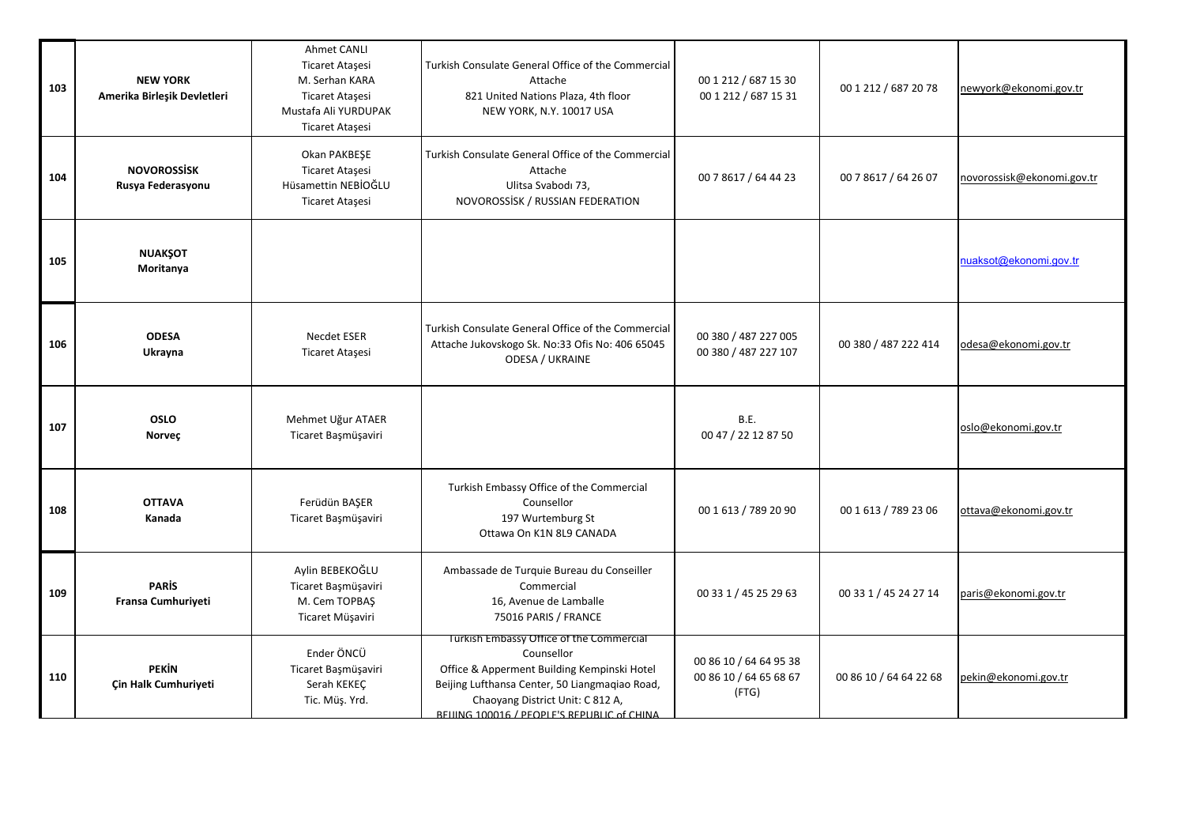| 103 | <b>NEW YORK</b><br>Amerika Birleşik Devletleri | Ahmet CANLI<br>Ticaret Ataşesi<br>M. Serhan KARA<br>Ticaret Ataşesi<br>Mustafa Ali YURDUPAK<br>Ticaret Ataşesi | Turkish Consulate General Office of the Commercial<br>Attache<br>821 United Nations Plaza, 4th floor<br>NEW YORK, N.Y. 10017 USA                                                                                                           | 00 1 212 / 687 15 30<br>00 1 212 / 687 15 31              | 00 1 212 / 687 20 78   | newyork@ekonomi.gov.tr      |
|-----|------------------------------------------------|----------------------------------------------------------------------------------------------------------------|--------------------------------------------------------------------------------------------------------------------------------------------------------------------------------------------------------------------------------------------|-----------------------------------------------------------|------------------------|-----------------------------|
| 104 | <b>NOVOROSSİSK</b><br>Rusya Federasyonu        | Okan PAKBEŞE<br>Ticaret Ataşesi<br>Hüsamettin NEBİOĞLU<br>Ticaret Ataşesi                                      | Turkish Consulate General Office of the Commercial<br>Attache<br>Ulitsa Svabodı 73,<br>NOVOROSSISK / RUSSIAN FEDERATION                                                                                                                    | 00 7 8617 / 64 44 23                                      | 00 7 8617 / 64 26 07   | novorossisk@ekonomi.gov.tr  |
| 105 | <b>NUAKŞOT</b><br>Moritanya                    |                                                                                                                |                                                                                                                                                                                                                                            |                                                           |                        | nuaksot@ekonomi.gov.tr      |
| 106 | <b>ODESA</b><br>Ukrayna                        | <b>Necdet ESER</b><br>Ticaret Ataşesi                                                                          | Turkish Consulate General Office of the Commercial<br>Attache Jukovskogo Sk. No:33 Ofis No: 406 65045<br>ODESA / UKRAINE                                                                                                                   | 00 380 / 487 227 005<br>00 380 / 487 227 107              | 00 380 / 487 222 414   | odesa@ekonomi.gov.tr        |
| 107 | <b>OSLO</b><br>Norveç                          | Mehmet Uğur ATAER<br>Ticaret Başmüşaviri                                                                       |                                                                                                                                                                                                                                            | B.E.<br>00 47 / 22 12 87 50                               |                        | oslo@ekonomi.gov.tr         |
| 108 | <b>OTTAVA</b><br>Kanada                        | Ferüdün BAŞER<br>Ticaret Başmüşaviri                                                                           | Turkish Embassy Office of the Commercial<br>Counsellor<br>197 Wurtemburg St<br>Ottawa On K1N 8L9 CANADA                                                                                                                                    | 00 1 613 / 789 20 90                                      | 00 1 613 / 789 23 06   | ottava@ekonomi.gov.tr       |
| 109 | <b>PARIS</b><br>Fransa Cumhuriyeti             | Aylin BEBEKOĞLU<br>Ticaret Başmüşaviri<br>M. Cem TOPBAŞ<br>Ticaret Müşaviri                                    | Ambassade de Turquie Bureau du Conseiller<br>Commercial<br>16, Avenue de Lamballe<br>75016 PARIS / FRANCE                                                                                                                                  | 00 33 1 / 45 25 29 63                                     | 00 33 1 / 45 24 27 14  | paris@ekonomi.gov.tr        |
| 110 | <b>PEKİN</b><br>Çin Halk Cumhuriyeti           | Ender ÖNCÜ<br>Ticaret Başmüşaviri<br>Serah KEKEÇ<br>Tic. Müş. Yrd.                                             | Turkish Embassy Office of the Commercial<br>Counsellor<br>Office & Apperment Building Kempinski Hotel<br>Beijing Lufthansa Center, 50 Liangmaqiao Road,<br>Chaoyang District Unit: C 812 A,<br>REIJING 100016 / PEOPLE'S REPUBLIC of CHINA | 00 86 10 / 64 64 95 38<br>00 86 10 / 64 65 68 67<br>(FTG) | 00 86 10 / 64 64 22 68 | <u>pekin@ekonomi.gov.tr</u> |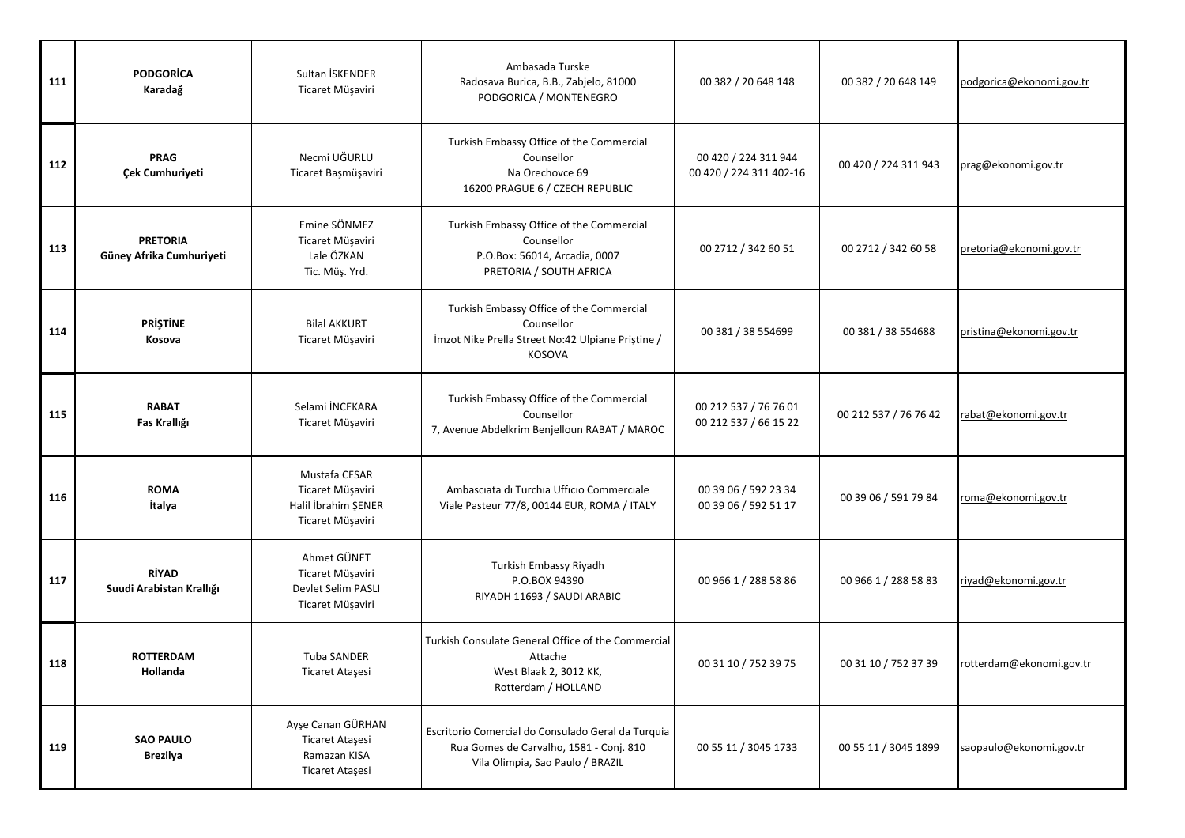| 111 | <b>PODGORICA</b><br>Karadağ                 | Sultan İSKENDER<br>Ticaret Müşaviri                                          | Ambasada Turske<br>Radosava Burica, B.B., Zabjelo, 81000<br>PODGORICA / MONTENEGRO                                                | 00 382 / 20 648 148                             | 00 382 / 20 648 149   | podgorica@ekonomi.gov.tr |
|-----|---------------------------------------------|------------------------------------------------------------------------------|-----------------------------------------------------------------------------------------------------------------------------------|-------------------------------------------------|-----------------------|--------------------------|
| 112 | <b>PRAG</b><br>Çek Cumhuriyeti              | Necmi UĞURLU<br>Ticaret Başmüşaviri                                          | Turkish Embassy Office of the Commercial<br>Counsellor<br>Na Orechovce 69<br>16200 PRAGUE 6 / CZECH REPUBLIC                      | 00 420 / 224 311 944<br>00 420 / 224 311 402-16 | 00 420 / 224 311 943  | prag@ekonomi.gov.tr      |
| 113 | <b>PRETORIA</b><br>Güney Afrika Cumhuriyeti | Emine SÖNMEZ<br>Ticaret Müşaviri<br>Lale ÖZKAN<br>Tic. Müş. Yrd.             | Turkish Embassy Office of the Commercial<br>Counsellor<br>P.O.Box: 56014, Arcadia, 0007<br>PRETORIA / SOUTH AFRICA                | 00 2712 / 342 60 51                             | 00 2712 / 342 60 58   | pretoria@ekonomi.gov.tr  |
| 114 | <b>PRISTINE</b><br>Kosova                   | <b>Bilal AKKURT</b><br>Ticaret Müşaviri                                      | Turkish Embassy Office of the Commercial<br>Counsellor<br>Imzot Nike Prella Street No:42 Ulpiane Pristine /<br>KOSOVA             | 00 381 / 38 554699                              | 00 381 / 38 554688    | pristina@ekonomi.gov.tr  |
| 115 | <b>RABAT</b><br>Fas Krallığı                | Selami İNCEKARA<br>Ticaret Müşaviri                                          | Turkish Embassy Office of the Commercial<br>Counsellor<br>7, Avenue Abdelkrim Benjelloun RABAT / MAROC                            | 00 212 537 / 76 76 01<br>00 212 537 / 66 15 22  | 00 212 537 / 76 76 42 | rabat@ekonomi.gov.tr     |
| 116 | <b>ROMA</b><br><b>İtalya</b>                | Mustafa CESAR<br>Ticaret Müşaviri<br>Halil İbrahim ŞENER<br>Ticaret Müşaviri | Ambasciata di Turchia Ufficio Commerciale<br>Viale Pasteur 77/8, 00144 EUR, ROMA / ITALY                                          | 00 39 06 / 592 23 34<br>00 39 06 / 592 51 17    | 00 39 06 / 591 79 84  | roma@ekonomi.gov.tr      |
| 117 | <b>RİYAD</b><br>Suudi Arabistan Krallığı    | Ahmet GÜNET<br>Ticaret Müşaviri<br>Devlet Selim PASLI<br>Ticaret Müşaviri    | Turkish Embassy Riyadh<br>P.O.BOX 94390<br>RIYADH 11693 / SAUDI ARABIC                                                            | 00 966 1 / 288 58 86                            | 00 966 1 / 288 58 83  | riyad@ekonomi.gov.tr     |
| 118 | <b>ROTTERDAM</b><br>Hollanda                | <b>Tuba SANDER</b><br>Ticaret Ataşesi                                        | Turkish Consulate General Office of the Commercial<br>Attache<br>West Blaak 2, 3012 KK,<br>Rotterdam / HOLLAND                    | 00 31 10 / 752 39 75                            | 00 31 10 / 752 37 39  | rotterdam@ekonomi.gov.tr |
| 119 | <b>SAO PAULO</b><br><b>Brezilya</b>         | Ayşe Canan GÜRHAN<br>Ticaret Ataşesi<br>Ramazan KISA<br>Ticaret Ataşesi      | Escritorio Comercial do Consulado Geral da Turquia<br>Rua Gomes de Carvalho, 1581 - Conj. 810<br>Vila Olimpia, Sao Paulo / BRAZIL | 00 55 11 / 3045 1733                            | 00 55 11 / 3045 1899  | saopaulo@ekonomi.gov.tr  |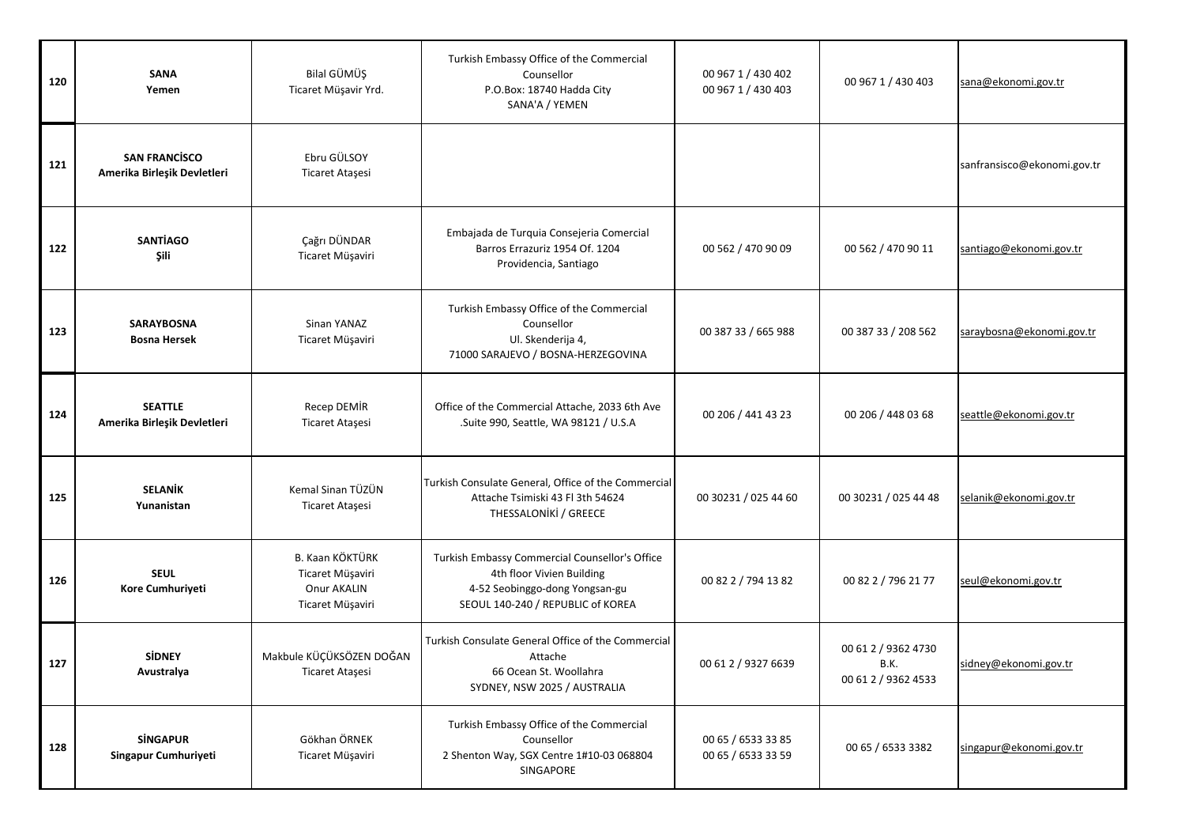| 120 | <b>SANA</b><br>Yemen                                | Bilal GÜMÜŞ<br>Ticaret Müşavir Yrd.                                    | Turkish Embassy Office of the Commercial<br>Counsellor<br>P.O.Box: 18740 Hadda City<br>SANA'A / YEMEN                                              | 00 967 1 / 430 402<br>00 967 1 / 430 403 | 00 967 1 / 430 403                                 | sana@ekonomi.gov.tr         |
|-----|-----------------------------------------------------|------------------------------------------------------------------------|----------------------------------------------------------------------------------------------------------------------------------------------------|------------------------------------------|----------------------------------------------------|-----------------------------|
| 121 | <b>SAN FRANCISCO</b><br>Amerika Birleşik Devletleri | Ebru GÜLSOY<br>Ticaret Ataşesi                                         |                                                                                                                                                    |                                          |                                                    | sanfransisco@ekonomi.gov.tr |
| 122 | <b>SANTIAGO</b><br>Şili                             | Çağrı DÜNDAR<br>Ticaret Müşaviri                                       | Embajada de Turquia Consejeria Comercial<br>Barros Errazuriz 1954 Of. 1204<br>Providencia, Santiago                                                | 00 562 / 470 90 09                       | 00 562 / 470 90 11                                 | santiago@ekonomi.gov.tr     |
| 123 | <b>SARAYBOSNA</b><br><b>Bosna Hersek</b>            | Sinan YANAZ<br>Ticaret Müşaviri                                        | Turkish Embassy Office of the Commercial<br>Counsellor<br>Ul. Skenderija 4,<br>71000 SARAJEVO / BOSNA-HERZEGOVINA                                  | 00 387 33 / 665 988                      | 00 387 33 / 208 562                                | saraybosna@ekonomi.gov.tr   |
| 124 | <b>SEATTLE</b><br>Amerika Birleşik Devletleri       | Recep DEMIR<br>Ticaret Ataşesi                                         | Office of the Commercial Attache, 2033 6th Ave<br>.Suite 990, Seattle, WA 98121 / U.S.A                                                            | 00 206 / 441 43 23                       | 00 206 / 448 03 68                                 | seattle@ekonomi.gov.tr      |
| 125 | <b>SELANİK</b><br>Yunanistan                        | Kemal Sinan TÜZÜN<br>Ticaret Ataşesi                                   | Turkish Consulate General, Office of the Commercial<br>Attache Tsimiski 43 Fl 3th 54624<br>THESSALONIKI / GREECE                                   | 00 30231 / 025 44 60                     | 00 30231 / 025 44 48                               | selanik@ekonomi.gov.tr      |
| 126 | <b>SEUL</b><br>Kore Cumhuriyeti                     | B. Kaan KÖKTÜRK<br>Ticaret Müşaviri<br>Onur AKALIN<br>Ticaret Müşaviri | Turkish Embassy Commercial Counsellor's Office<br>4th floor Vivien Building<br>4-52 Seobinggo-dong Yongsan-gu<br>SEOUL 140-240 / REPUBLIC of KOREA | 00 82 2 / 794 13 82                      | 00 82 2 / 796 21 77                                | seul@ekonomi.gov.tr         |
| 127 | <b>SİDNEY</b><br>Avustralya                         | Makbule KÜÇÜKSÖZEN DOĞAN<br>Ticaret Ataşesi                            | Turkish Consulate General Office of the Commercial<br>Attache<br>66 Ocean St. Woollahra<br>SYDNEY, NSW 2025 / AUSTRALIA                            | 00 61 2 / 9327 6639                      | 00 61 2 / 9362 4730<br>B.K.<br>00 61 2 / 9362 4533 | sidney@ekonomi.gov.tr       |
| 128 | <b>SİNGAPUR</b><br>Singapur Cumhuriyeti             | Gökhan ÖRNEK<br>Ticaret Müşaviri                                       | Turkish Embassy Office of the Commercial<br>Counsellor<br>2 Shenton Way, SGX Centre 1#10-03 068804<br>SINGAPORE                                    | 00 65 / 6533 33 85<br>00 65 / 6533 33 59 | 00 65 / 6533 3382                                  | singapur@ekonomi.gov.tr     |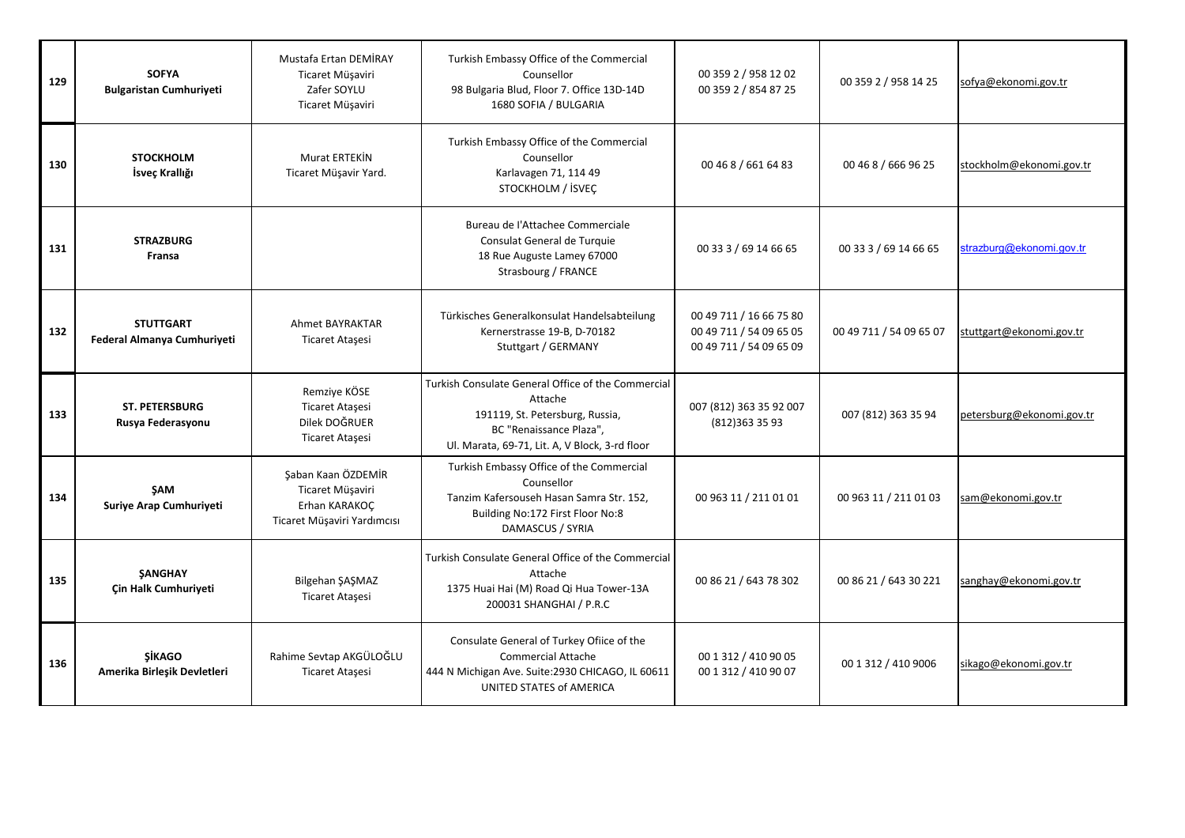| 129 | <b>SOFYA</b><br><b>Bulgaristan Cumhuriyeti</b>  | Mustafa Ertan DEMİRAY<br>Ticaret Müşaviri<br>Zafer SOYLU<br>Ticaret Müşaviri           | Turkish Embassy Office of the Commercial<br>Counsellor<br>98 Bulgaria Blud, Floor 7. Office 13D-14D<br>1680 SOFIA / BULGARIA                                                  | 00 359 2 / 958 12 02<br>00 359 2 / 854 87 25                                  | 00 359 2 / 958 14 25    | sofya@ekonomi.gov.tr      |
|-----|-------------------------------------------------|----------------------------------------------------------------------------------------|-------------------------------------------------------------------------------------------------------------------------------------------------------------------------------|-------------------------------------------------------------------------------|-------------------------|---------------------------|
| 130 | <b>STOCKHOLM</b><br>İsveç Krallığı              | <b>Murat ERTEKIN</b><br>Ticaret Müşavir Yard.                                          | Turkish Embassy Office of the Commercial<br>Counsellor<br>Karlavagen 71, 114 49<br>STOCKHOLM / İSVEÇ                                                                          | 00 46 8 / 661 64 83                                                           | 00 46 8 / 666 96 25     | stockholm@ekonomi.gov.tr  |
| 131 | <b>STRAZBURG</b><br><b>Fransa</b>               |                                                                                        | Bureau de l'Attachee Commerciale<br>Consulat General de Turquie<br>18 Rue Auguste Lamey 67000<br>Strasbourg / FRANCE                                                          | 00 33 3 / 69 14 66 65                                                         | 00 33 3 / 69 14 66 65   | strazburg@ekonomi.gov.tr  |
| 132 | <b>STUTTGART</b><br>Federal Almanya Cumhuriyeti | Ahmet BAYRAKTAR<br>Ticaret Ataşesi                                                     | Türkisches Generalkonsulat Handelsabteilung<br>Kernerstrasse 19-B, D-70182<br>Stuttgart / GERMANY                                                                             | 00 49 711 / 16 66 75 80<br>00 49 711 / 54 09 65 05<br>00 49 711 / 54 09 65 09 | 00 49 711 / 54 09 65 07 | stuttgart@ekonomi.gov.tr  |
| 133 | <b>ST. PETERSBURG</b><br>Rusya Federasyonu      | Remziye KÖSE<br>Ticaret Ataşesi<br>Dilek DOĞRUER<br>Ticaret Ataşesi                    | Turkish Consulate General Office of the Commercial<br>Attache<br>191119, St. Petersburg, Russia,<br>BC "Renaissance Plaza",<br>Ul. Marata, 69-71, Lit. A, V Block, 3-rd floor | 007 (812) 363 35 92 007<br>(812) 363 35 93                                    | 007 (812) 363 35 94     | petersburg@ekonomi.gov.tr |
| 134 | ŞAM<br>Suriye Arap Cumhuriyeti                  | Şaban Kaan ÖZDEMİR<br>Ticaret Müşaviri<br>Erhan KARAKOÇ<br>Ticaret Müşaviri Yardımcısı | Turkish Embassy Office of the Commercial<br>Counsellor<br>Tanzim Kafersouseh Hasan Samra Str. 152,<br>Building No:172 First Floor No:8<br>DAMASCUS / SYRIA                    | 00 963 11 / 211 01 01                                                         | 00 963 11 / 211 01 03   | sam@ekonomi.gov.tr        |
| 135 | <b><i>ŞANGHAY</i></b><br>Çin Halk Cumhuriyeti   | Bilgehan ŞAŞMAZ<br>Ticaret Ataşesi                                                     | Turkish Consulate General Office of the Commercial<br>Attache<br>1375 Huai Hai (M) Road Qi Hua Tower-13A<br>200031 SHANGHAI / P.R.C                                           | 00 86 21 / 643 78 302                                                         | 00 86 21 / 643 30 221   | sanghay@ekonomi.gov.tr    |
| 136 | <b>ŞİKAGO</b><br>Amerika Birleşik Devletleri    | Rahime Sevtap AKGÜLOĞLU<br>Ticaret Ataşesi                                             | Consulate General of Turkey Ofiice of the<br><b>Commercial Attache</b><br>444 N Michigan Ave. Suite: 2930 CHICAGO, IL 60611<br>UNITED STATES of AMERICA                       | 00 1 312 / 410 90 05<br>00 1 312 / 410 90 07                                  | 00 1 312 / 410 9006     | sikago@ekonomi.gov.tr     |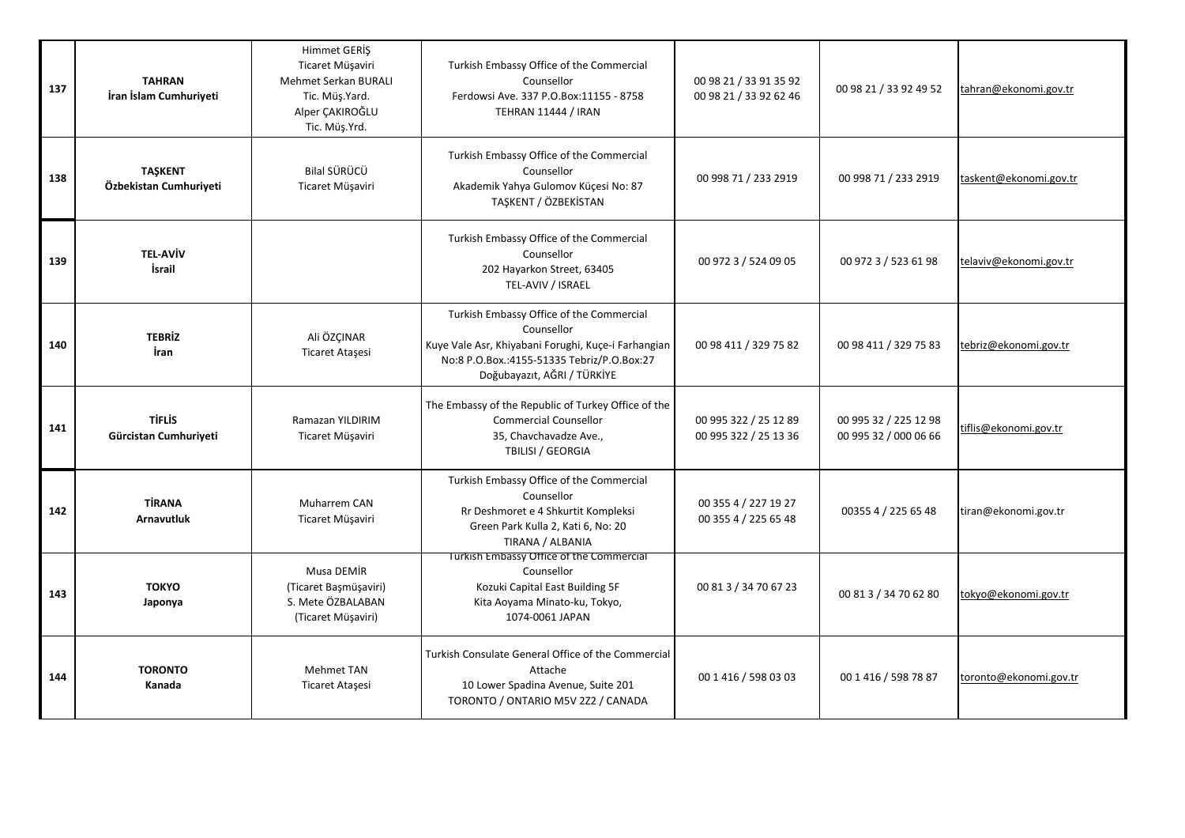| 137 | <b>TAHRAN</b><br>İran İslam Cumhuriyeti  | Himmet GERİŞ<br>Ticaret Müşaviri<br>Mehmet Serkan BURALI<br>Tic. Müş. Yard.<br>Alper ÇAKIROĞLU<br>Tic. Müş.Yrd. | Turkish Embassy Office of the Commercial<br>Counsellor<br>Ferdowsi Ave. 337 P.O.Box:11155 - 8758<br><b>TEHRAN 11444 / IRAN</b>                                                             | 00 98 21 / 33 91 35 92<br>00 98 21 / 33 92 62 46 | 00 98 21 / 33 92 49 52                         | tahran@ekonomi.gov.tr  |
|-----|------------------------------------------|-----------------------------------------------------------------------------------------------------------------|--------------------------------------------------------------------------------------------------------------------------------------------------------------------------------------------|--------------------------------------------------|------------------------------------------------|------------------------|
| 138 | <b>TAŞKENT</b><br>Özbekistan Cumhuriyeti | Bilal SÜRÜCÜ<br>Ticaret Müşaviri                                                                                | Turkish Embassy Office of the Commercial<br>Counsellor<br>Akademik Yahya Gulomov Küçesi No: 87<br>TAŞKENT / ÖZBEKİSTAN                                                                     | 00 998 71 / 233 2919                             | 00 998 71 / 233 2919                           | taskent@ekonomi.gov.tr |
| 139 | <b>TEL-AVİV</b><br><b>İsrail</b>         |                                                                                                                 | Turkish Embassy Office of the Commercial<br>Counsellor<br>202 Hayarkon Street, 63405<br>TEL-AVIV / ISRAEL                                                                                  | 00 972 3 / 524 09 05                             | 00 972 3 / 523 61 98                           | telaviv@ekonomi.gov.tr |
| 140 | <b>TEBRİZ</b><br>İran                    | Ali ÖZÇINAR<br>Ticaret Ataşesi                                                                                  | Turkish Embassy Office of the Commercial<br>Counsellor<br>Kuye Vale Asr, Khiyabani Forughi, Kuçe-i Farhangian<br>No:8 P.O.Box.:4155-51335 Tebriz/P.O.Box:27<br>Doğubayazıt, AĞRI / TÜRKİYE | 00 98 411 / 329 75 82                            | 00 98 411 / 329 75 83                          | tebriz@ekonomi.gov.tr  |
| 141 | <b>TIFLIS</b><br>Gürcistan Cumhuriyeti   | Ramazan YILDIRIM<br>Ticaret Müşaviri                                                                            | The Embassy of the Republic of Turkey Office of the<br><b>Commercial Counsellor</b><br>35, Chavchavadze Ave.,<br><b>TBILISI / GEORGIA</b>                                                  | 00 995 322 / 25 12 89<br>00 995 322 / 25 13 36   | 00 995 32 / 225 12 98<br>00 995 32 / 000 06 66 | tiflis@ekonomi.gov.tr  |
| 142 | <b>TİRANA</b><br>Arnavutluk              | Muharrem CAN<br>Ticaret Müşaviri                                                                                | Turkish Embassy Office of the Commercial<br>Counsellor<br>Rr Deshmoret e 4 Shkurtit Kompleksi<br>Green Park Kulla 2, Kati 6, No: 20<br>TIRANA / ALBANIA                                    | 00 355 4 / 227 19 27<br>00 355 4 / 225 65 48     | 00355 4 / 225 65 48                            | tiran@ekonomi.gov.tr   |
| 143 | <b>TOKYO</b><br>Japonya                  | Musa DEMIR<br>(Ticaret Başmüşaviri)<br>S. Mete ÖZBALABAN<br>(Ticaret Müşaviri)                                  | <b>Turkish Embassy Office of the Commercial</b><br>Counsellor<br>Kozuki Capital East Building 5F<br>Kita Aoyama Minato-ku, Tokyo,<br>1074-0061 JAPAN                                       | 00 81 3 / 34 70 67 23                            | 00 81 3 / 34 70 62 80                          | tokyo@ekonomi.gov.tr   |
| 144 | <b>TORONTO</b><br>Kanada                 | Mehmet TAN<br>Ticaret Ataşesi                                                                                   | Turkish Consulate General Office of the Commercial<br>Attache<br>10 Lower Spadina Avenue, Suite 201<br>TORONTO / ONTARIO M5V 2Z2 / CANADA                                                  | 00 1 416 / 598 03 03                             | 00 1 416 / 598 78 87                           | toronto@ekonomi.gov.tr |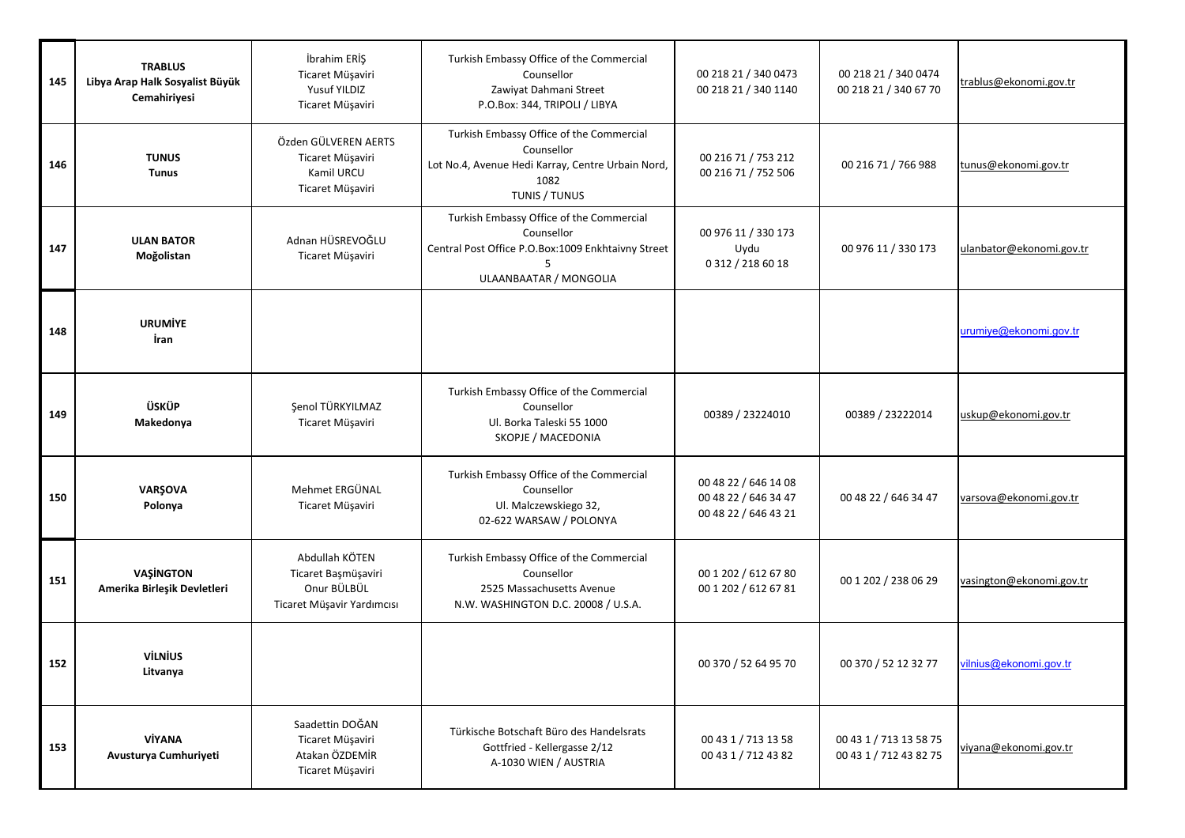| 145 | <b>TRABLUS</b><br>Libya Arap Halk Sosyalist Büyük<br>Cemahiriyesi | İbrahim ERİŞ<br>Ticaret Müşaviri<br>Yusuf YILDIZ<br>Ticaret Müşaviri               | Turkish Embassy Office of the Commercial<br>Counsellor<br>Zawiyat Dahmani Street<br>P.O.Box: 344, TRIPOLI / LIBYA                           | 00 218 21 / 340 0473<br>00 218 21 / 340 1140                         | 00 218 21 / 340 0474<br>00 218 21 / 340 67 70    | trablus@ekonomi.gov.tr   |
|-----|-------------------------------------------------------------------|------------------------------------------------------------------------------------|---------------------------------------------------------------------------------------------------------------------------------------------|----------------------------------------------------------------------|--------------------------------------------------|--------------------------|
| 146 | <b>TUNUS</b><br><b>Tunus</b>                                      | Özden GÜLVEREN AERTS<br>Ticaret Müşaviri<br>Kamil URCU<br>Ticaret Müşaviri         | Turkish Embassy Office of the Commercial<br>Counsellor<br>Lot No.4, Avenue Hedi Karray, Centre Urbain Nord,<br>1082<br>TUNIS / TUNUS        | 00 216 71 / 753 212<br>00 216 71 / 752 506                           | 00 216 71 / 766 988                              | tunus@ekonomi.gov.tr     |
| 147 | <b>ULAN BATOR</b><br>Moğolistan                                   | Adnan HÜSREVOĞLU<br>Ticaret Müşaviri                                               | Turkish Embassy Office of the Commercial<br>Counsellor<br>Central Post Office P.O.Box:1009 Enkhtaivny Street<br>5<br>ULAANBAATAR / MONGOLIA | 00 976 11 / 330 173<br>Uydu<br>0 312 / 218 60 18                     | 00 976 11 / 330 173                              | ulanbator@ekonomi.gov.tr |
| 148 | <b>URUMİYE</b><br>İran                                            |                                                                                    |                                                                                                                                             |                                                                      |                                                  | urumiye@ekonomi.gov.tr   |
| 149 | <b>ÜSKÜP</b><br>Makedonya                                         | Şenol TÜRKYILMAZ<br>Ticaret Müşaviri                                               | Turkish Embassy Office of the Commercial<br>Counsellor<br>Ul. Borka Taleski 55 1000<br>SKOPJE / MACEDONIA                                   | 00389 / 23224010                                                     | 00389 / 23222014                                 | uskup@ekonomi.gov.tr     |
| 150 | <b>VARŞOVA</b><br>Polonya                                         | Mehmet ERGÜNAL<br>Ticaret Müşaviri                                                 | Turkish Embassy Office of the Commercial<br>Counsellor<br>Ul. Malczewskiego 32,<br>02-622 WARSAW / POLONYA                                  | 00 48 22 / 646 14 08<br>00 48 22 / 646 34 47<br>00 48 22 / 646 43 21 | 00 48 22 / 646 34 47                             | varsova@ekonomi.gov.tr   |
| 151 | <b>VAŞİNGTON</b><br>Amerika Birleşik Devletleri                   | Abdullah KÖTEN<br>Ticaret Başmüşaviri<br>Onur BÜLBÜL<br>Ticaret Müşavir Yardımcısı | Turkish Embassy Office of the Commercial<br>Counsellor<br>2525 Massachusetts Avenue<br>N.W. WASHINGTON D.C. 20008 / U.S.A.                  | 00 1 202 / 612 67 80<br>00 1 202 / 612 67 81                         | 00 1 202 / 238 06 29                             | vasington@ekonomi.gov.tr |
| 152 | <b>VILNIUS</b><br>Litvanya                                        |                                                                                    |                                                                                                                                             | 00 370 / 52 64 95 70                                                 | 00 370 / 52 12 32 77                             | vilnius@ekonomi.gov.tr   |
| 153 | <b>VİYANA</b><br>Avusturya Cumhuriyeti                            | Saadettin DOĞAN<br>Ticaret Müşaviri<br>Atakan ÖZDEMİR<br>Ticaret Müşaviri          | Türkische Botschaft Büro des Handelsrats<br>Gottfried - Kellergasse 2/12<br>A-1030 WIEN / AUSTRIA                                           | 00 43 1 / 713 13 58<br>00 43 1 / 712 43 82                           | 00 43 1 / 713 13 58 75<br>00 43 1 / 712 43 82 75 | viyana@ekonomi.gov.tr    |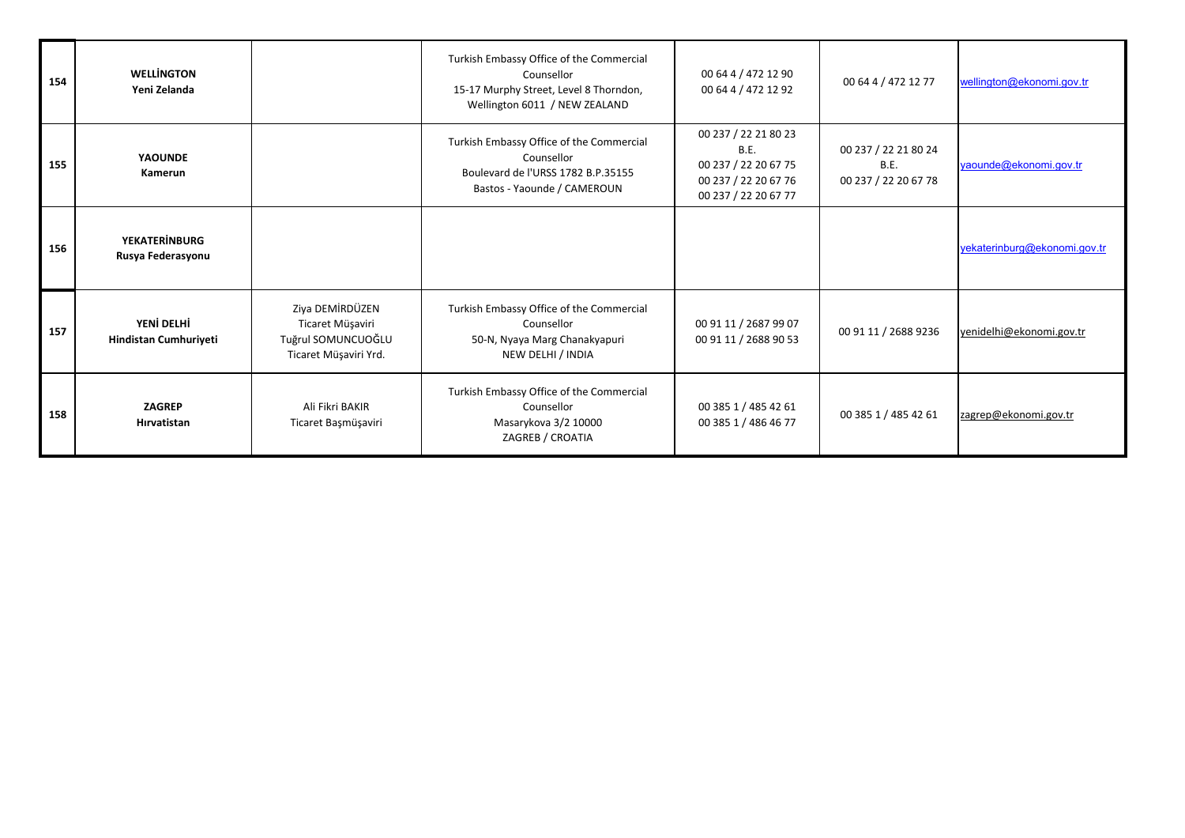| 154 | <b>WELLINGTON</b><br>Yeni Zelanda         |                                                                                    | Turkish Embassy Office of the Commercial<br>Counsellor<br>15-17 Murphy Street, Level 8 Thorndon,<br>Wellington 6011 / NEW ZEALAND | 00 64 4 / 472 12 90<br>00 64 4 / 472 12 92                                                           | 00 64 4 / 472 12 77                                         | wellington@ekonomi.gov.tr    |
|-----|-------------------------------------------|------------------------------------------------------------------------------------|-----------------------------------------------------------------------------------------------------------------------------------|------------------------------------------------------------------------------------------------------|-------------------------------------------------------------|------------------------------|
| 155 | <b>YAOUNDE</b><br>Kamerun                 |                                                                                    | Turkish Embassy Office of the Commercial<br>Counsellor<br>Boulevard de l'URSS 1782 B.P.35155<br>Bastos - Yaounde / CAMEROUN       | 00 237 / 22 21 80 23<br>B.E.<br>00 237 / 22 20 67 75<br>00 237 / 22 20 67 76<br>00 237 / 22 20 67 77 | 00 237 / 22 21 80 24<br><b>B.E.</b><br>00 237 / 22 20 67 78 | yaounde@ekonomi.gov.tr       |
| 156 | <b>YEKATERİNBURG</b><br>Rusya Federasyonu |                                                                                    |                                                                                                                                   |                                                                                                      |                                                             | yekaterinburg@ekonomi.gov.tr |
| 157 | YENİ DELHİ<br>Hindistan Cumhuriyeti       | Ziya DEMİRDÜZEN<br>Ticaret Müşaviri<br>Tuğrul SOMUNCUOĞLU<br>Ticaret Müşaviri Yrd. | Turkish Embassy Office of the Commercial<br>Counsellor<br>50-N, Nyaya Marg Chanakyapuri<br>NEW DELHI / INDIA                      | 00 91 11 / 2687 99 07<br>00 91 11 / 2688 90 53                                                       | 00 91 11 / 2688 9236                                        | yenidelhi@ekonomi.gov.tr     |
| 158 | <b>ZAGREP</b><br>Hırvatistan              | Ali Fikri BAKIR<br>Ticaret Başmüşaviri                                             | Turkish Embassy Office of the Commercial<br>Counsellor<br>Masarykova 3/2 10000<br>ZAGREB / CROATIA                                | 00 385 1 / 485 42 61<br>00 385 1 / 486 46 77                                                         | 00 385 1 / 485 42 61                                        | zagrep@ekonomi.gov.tr        |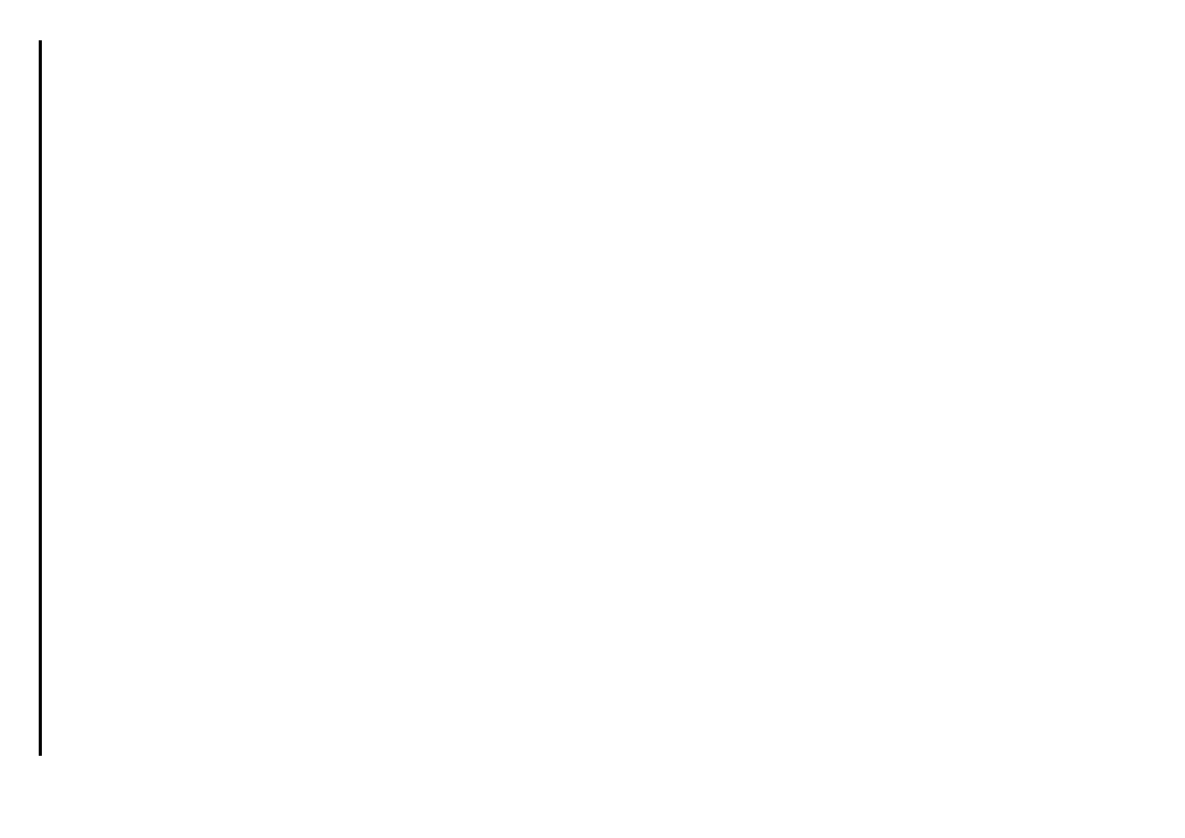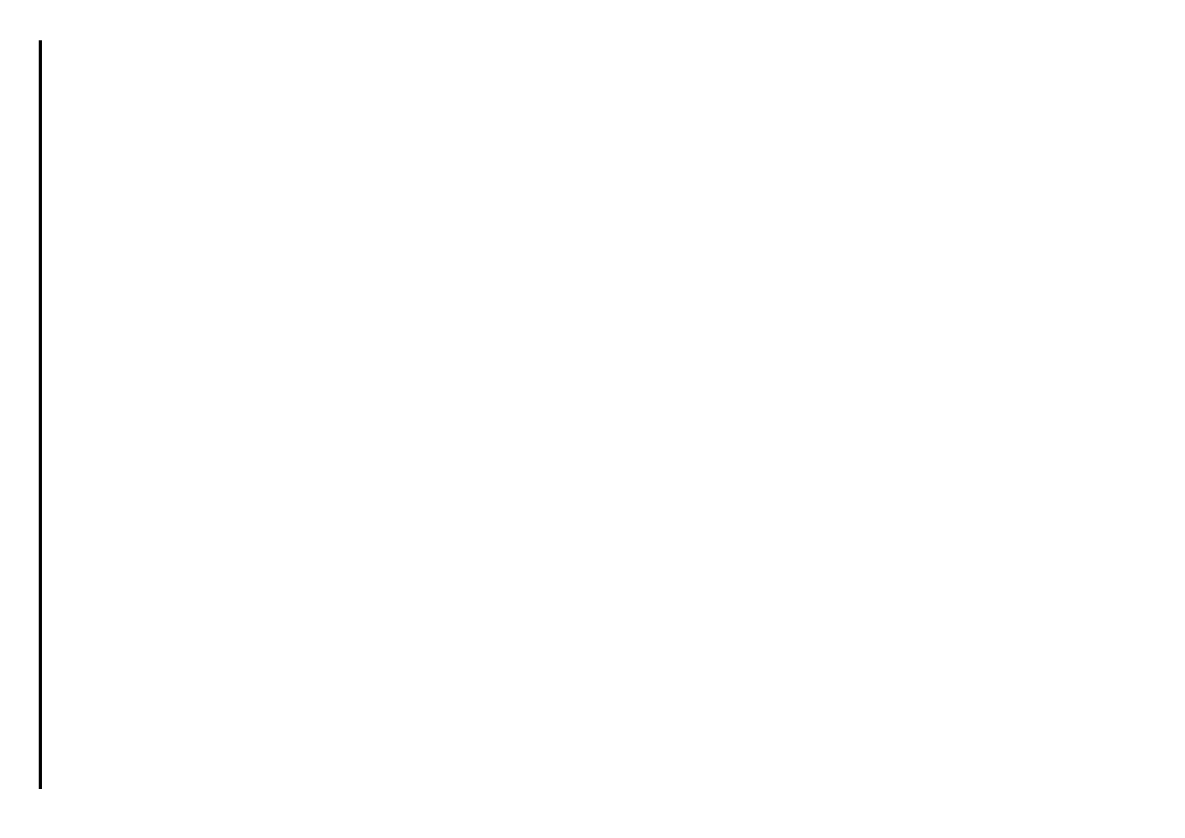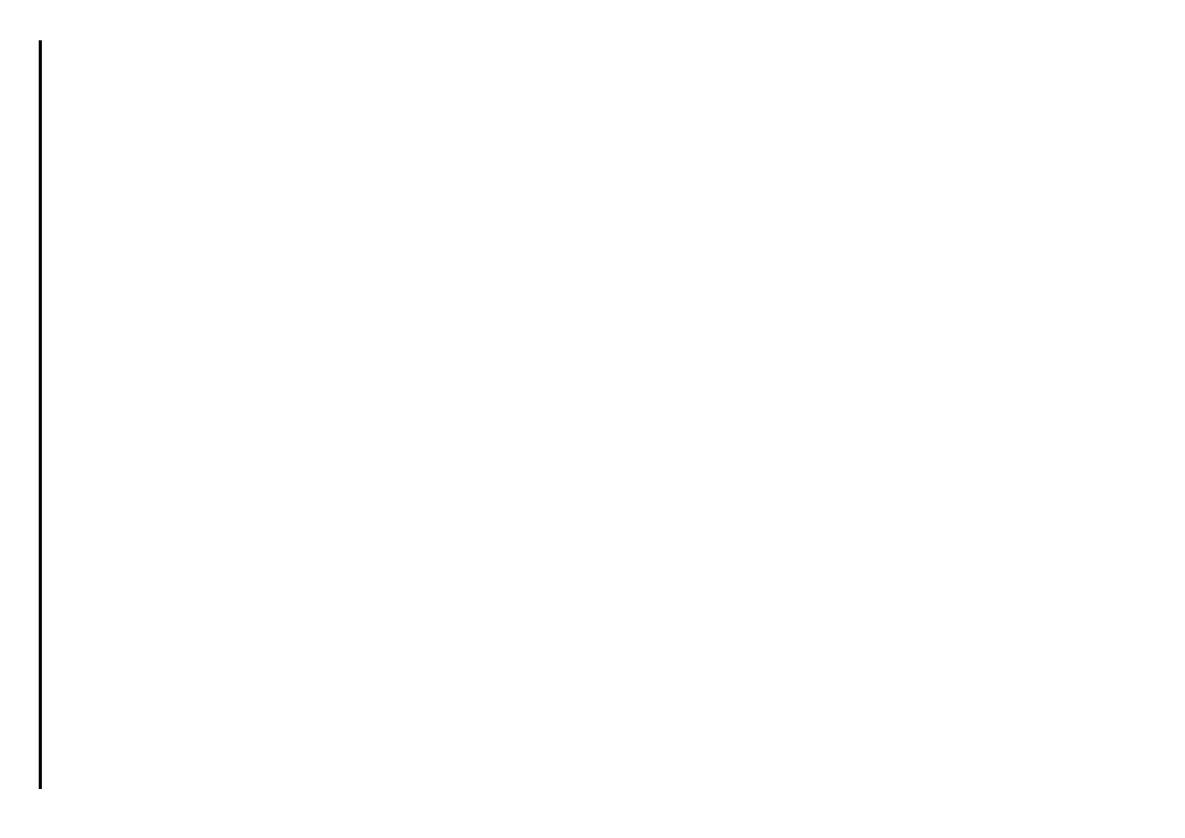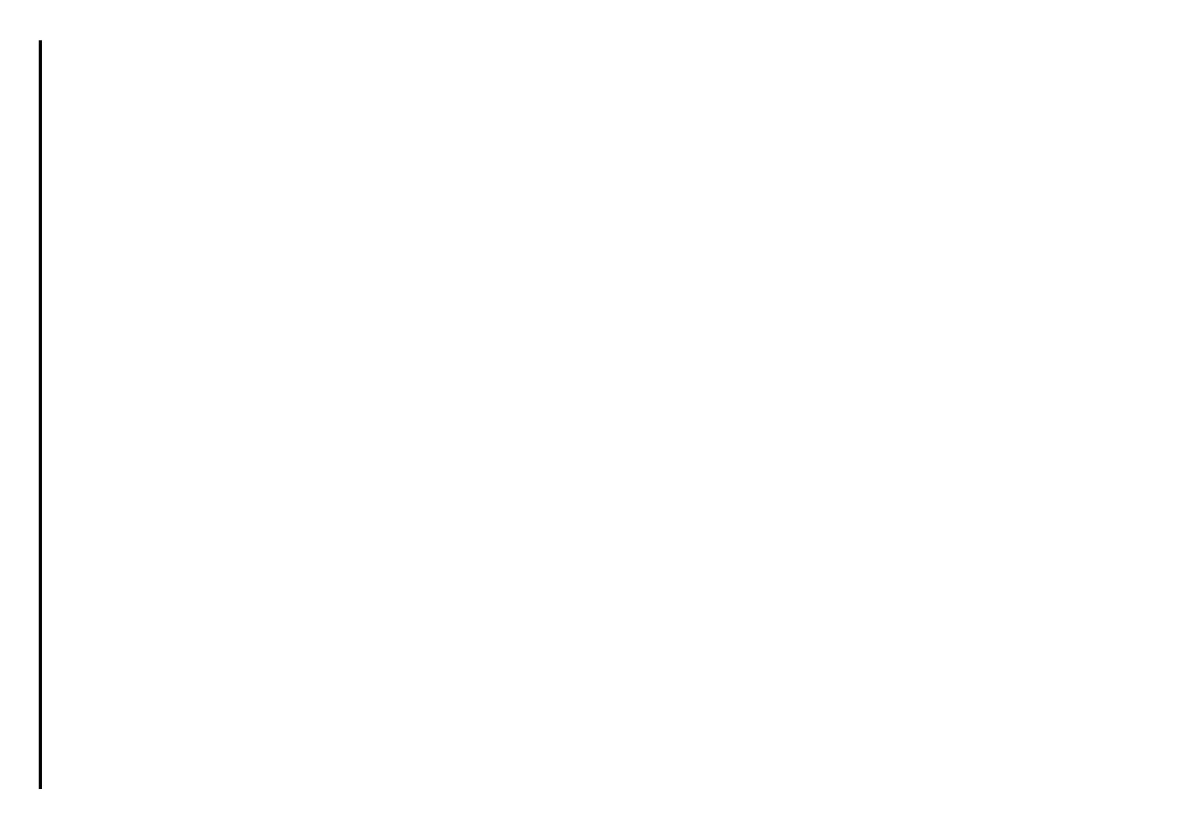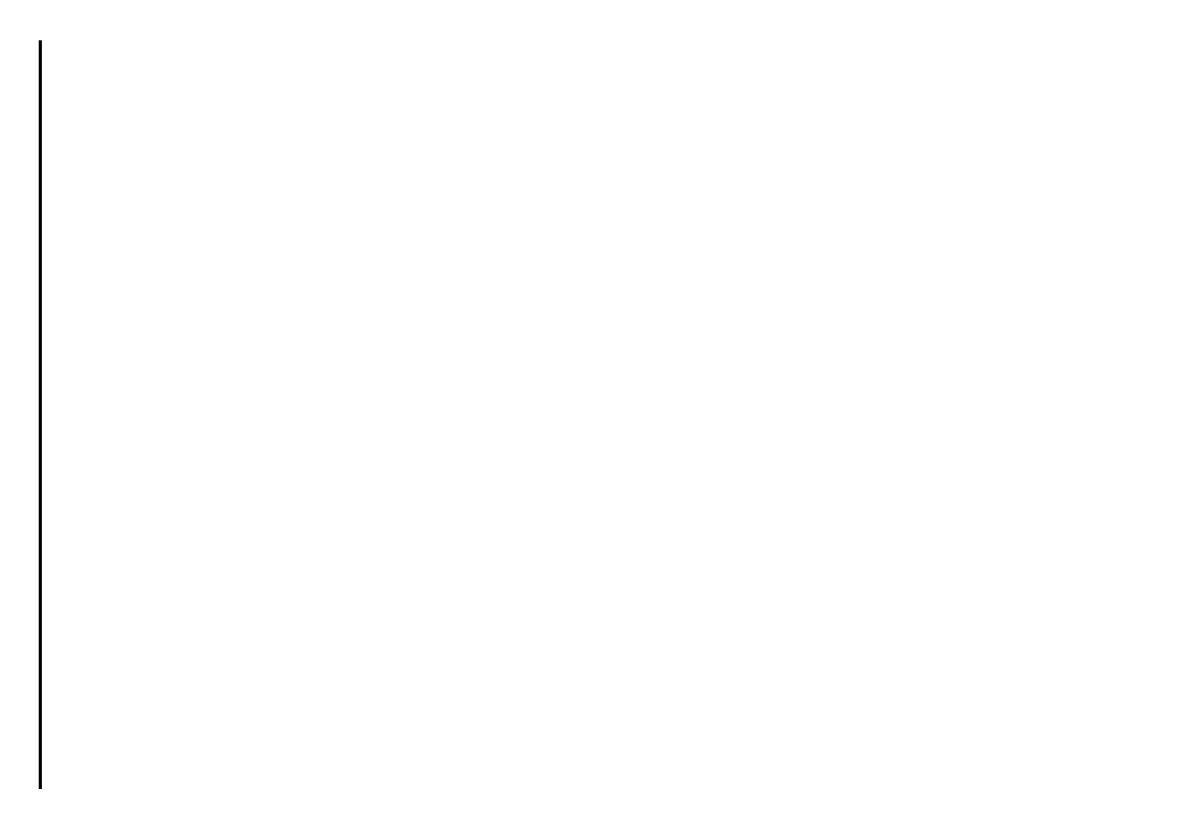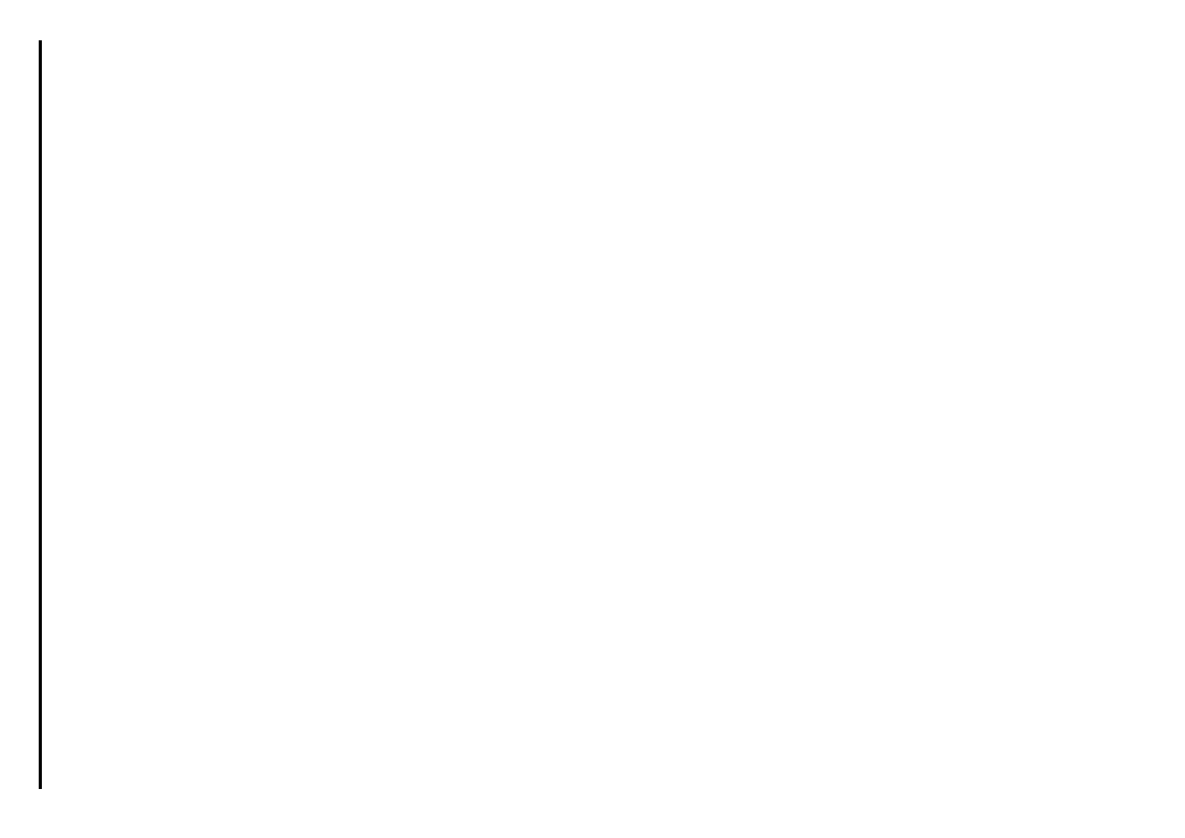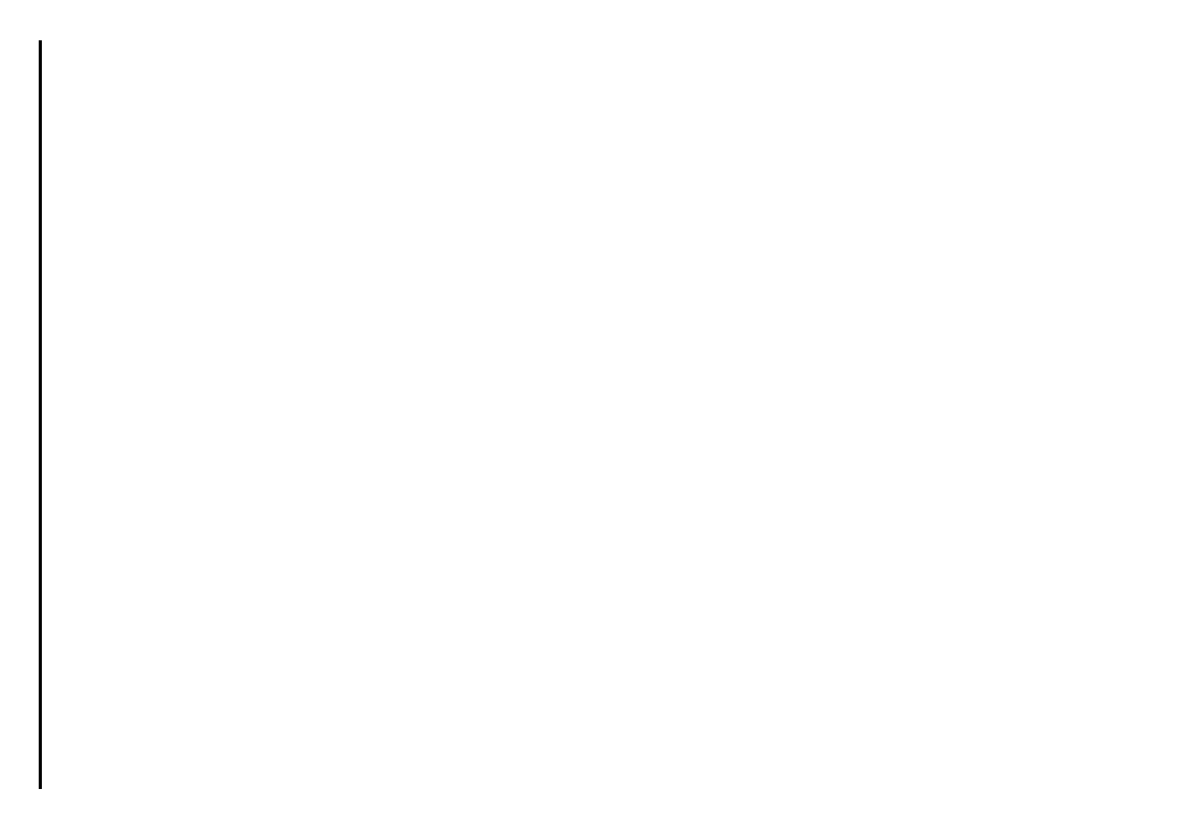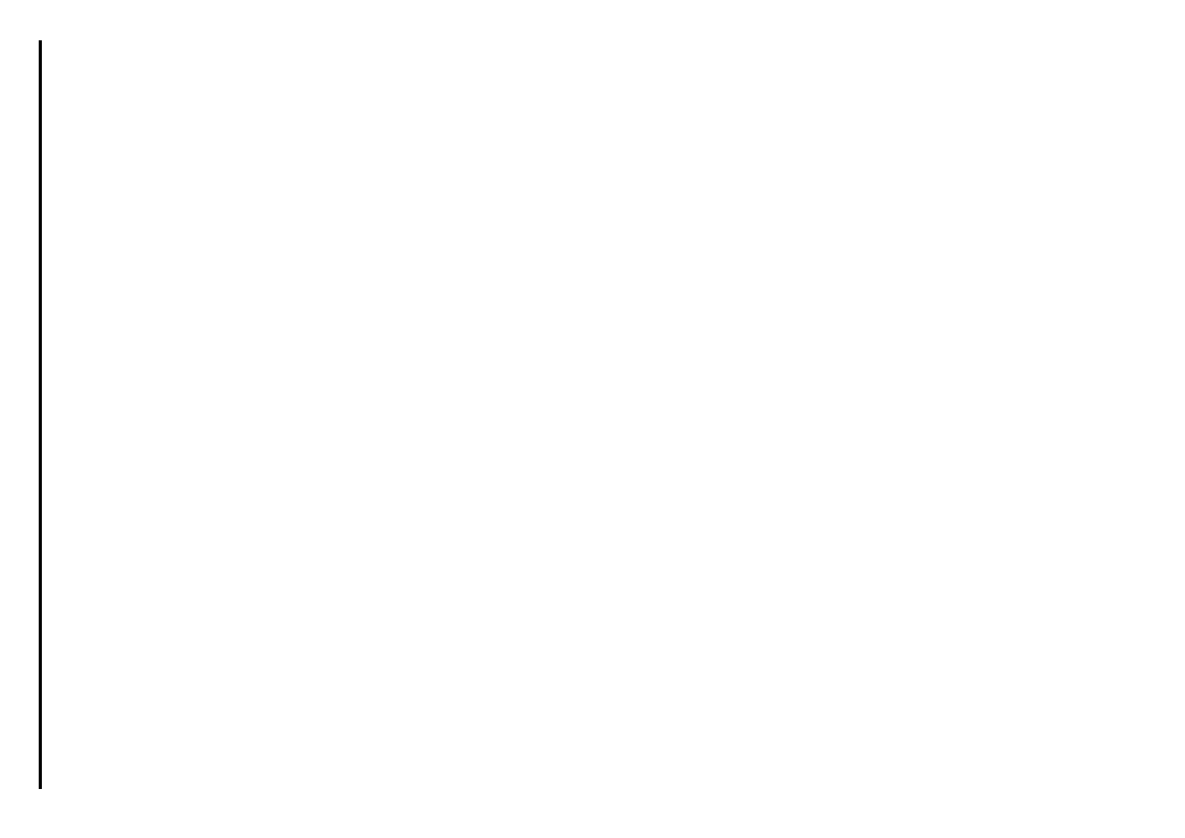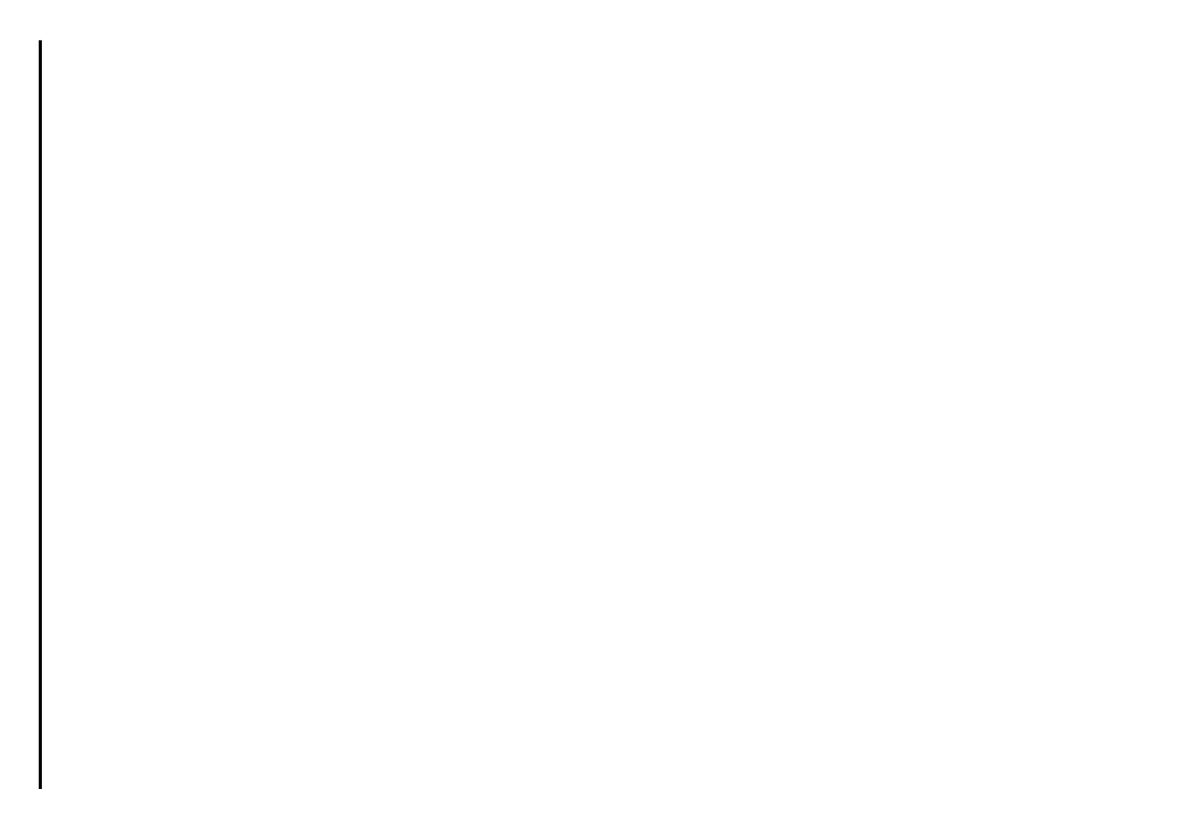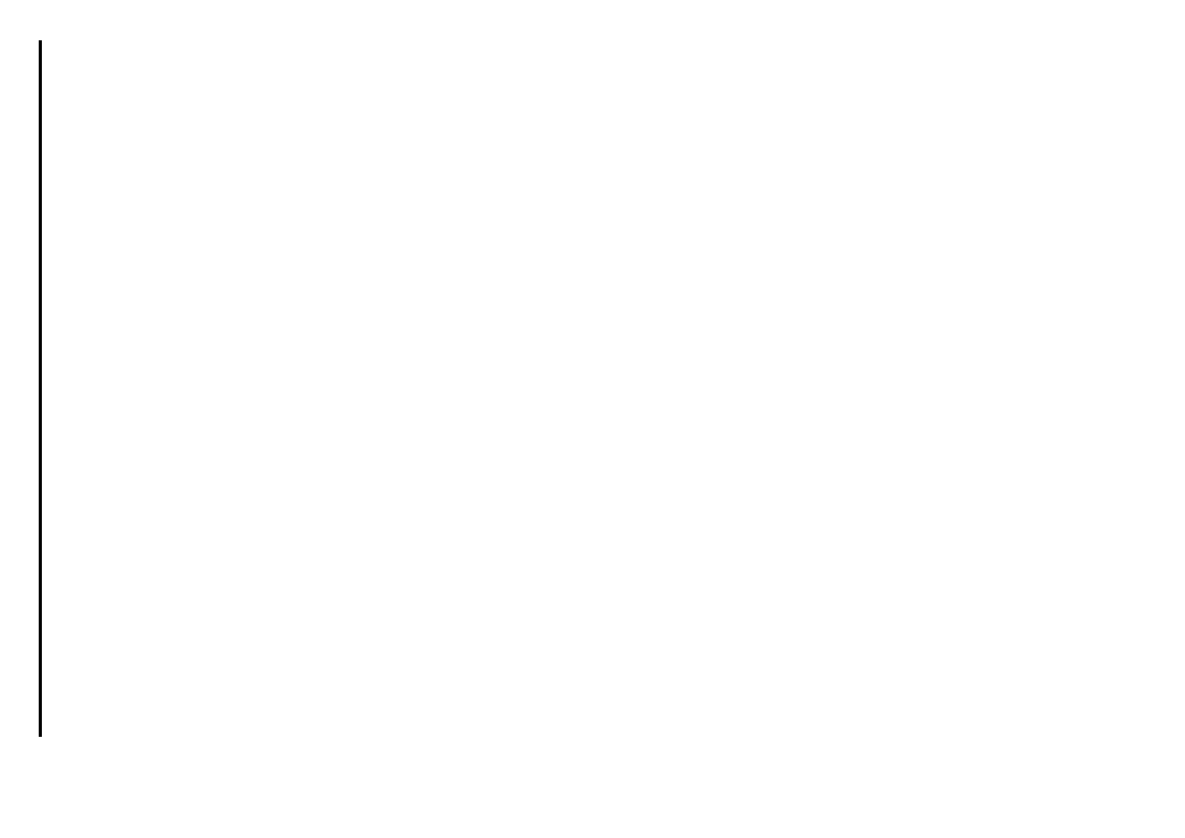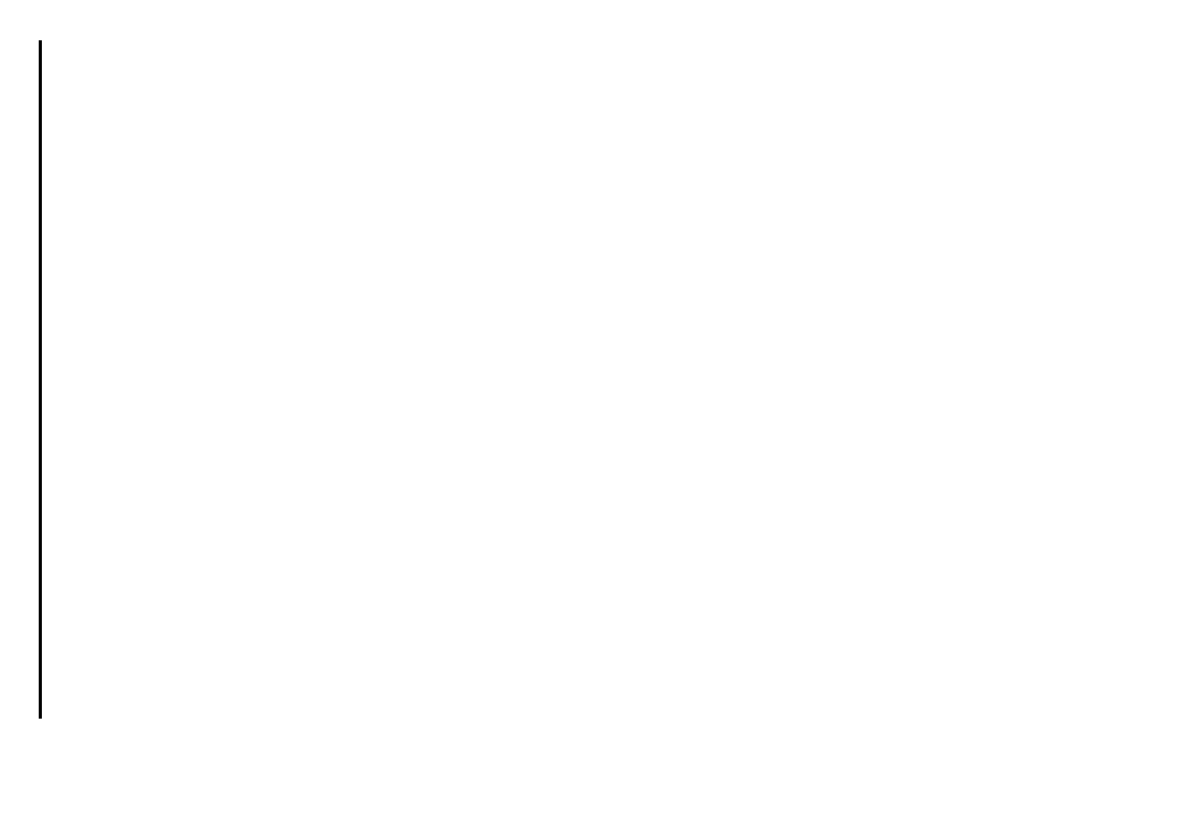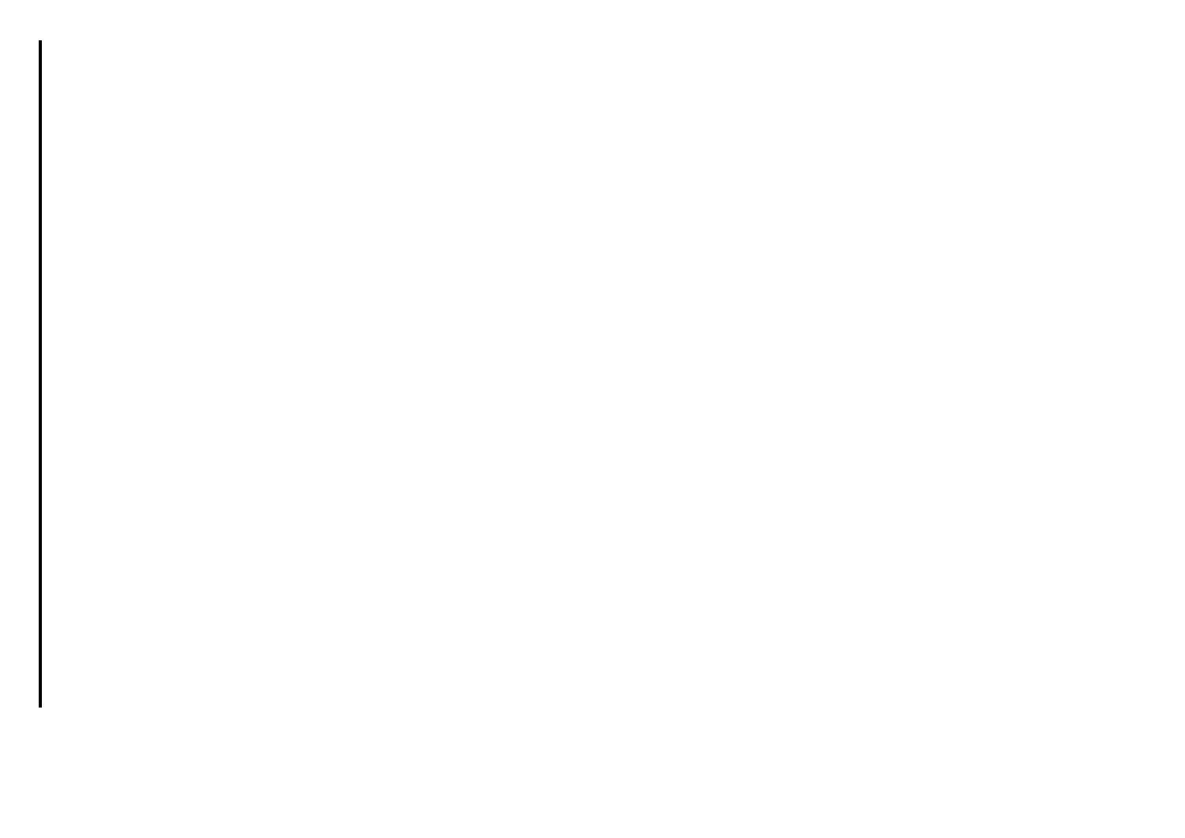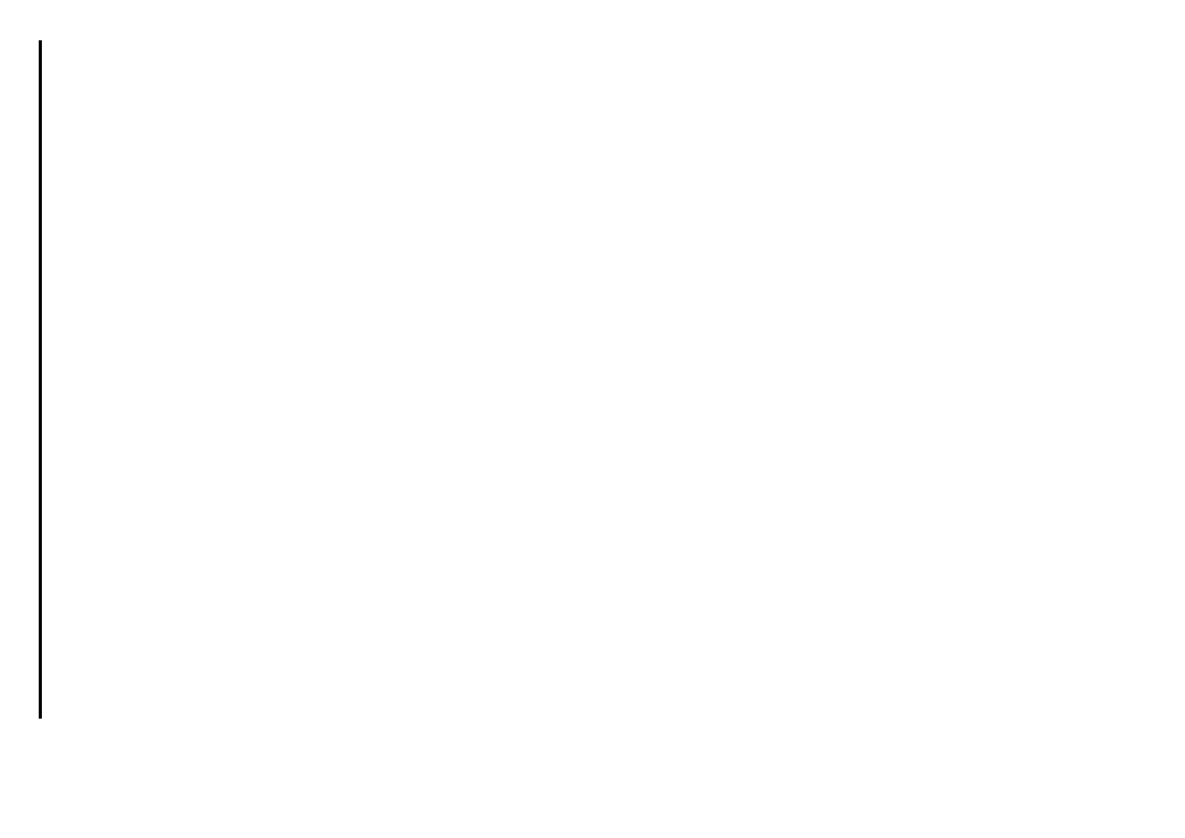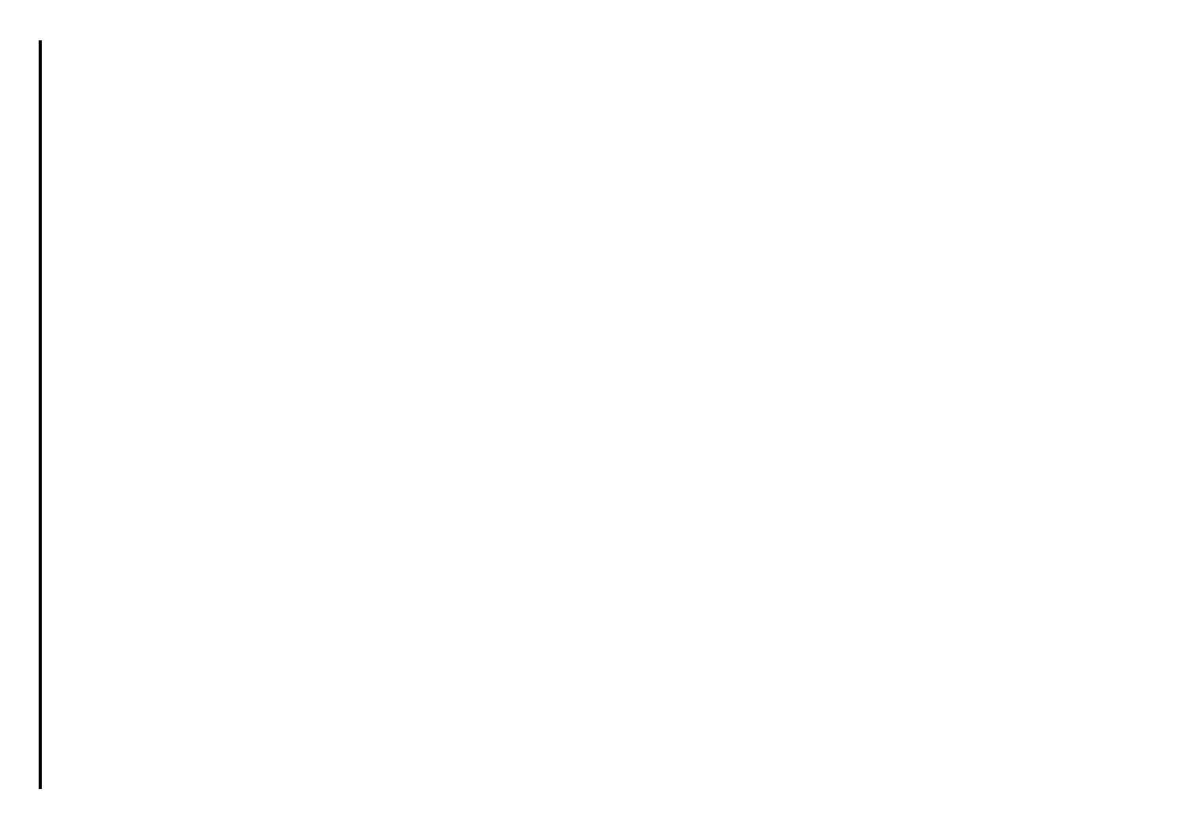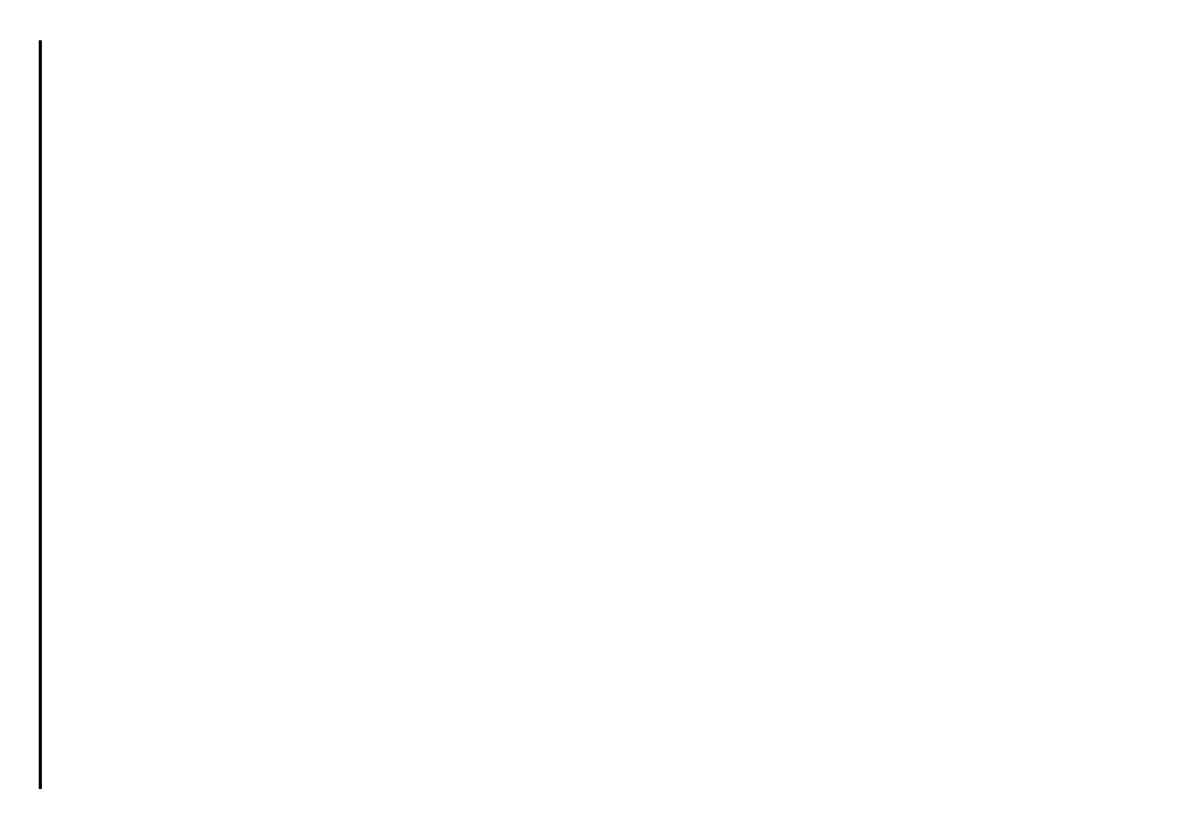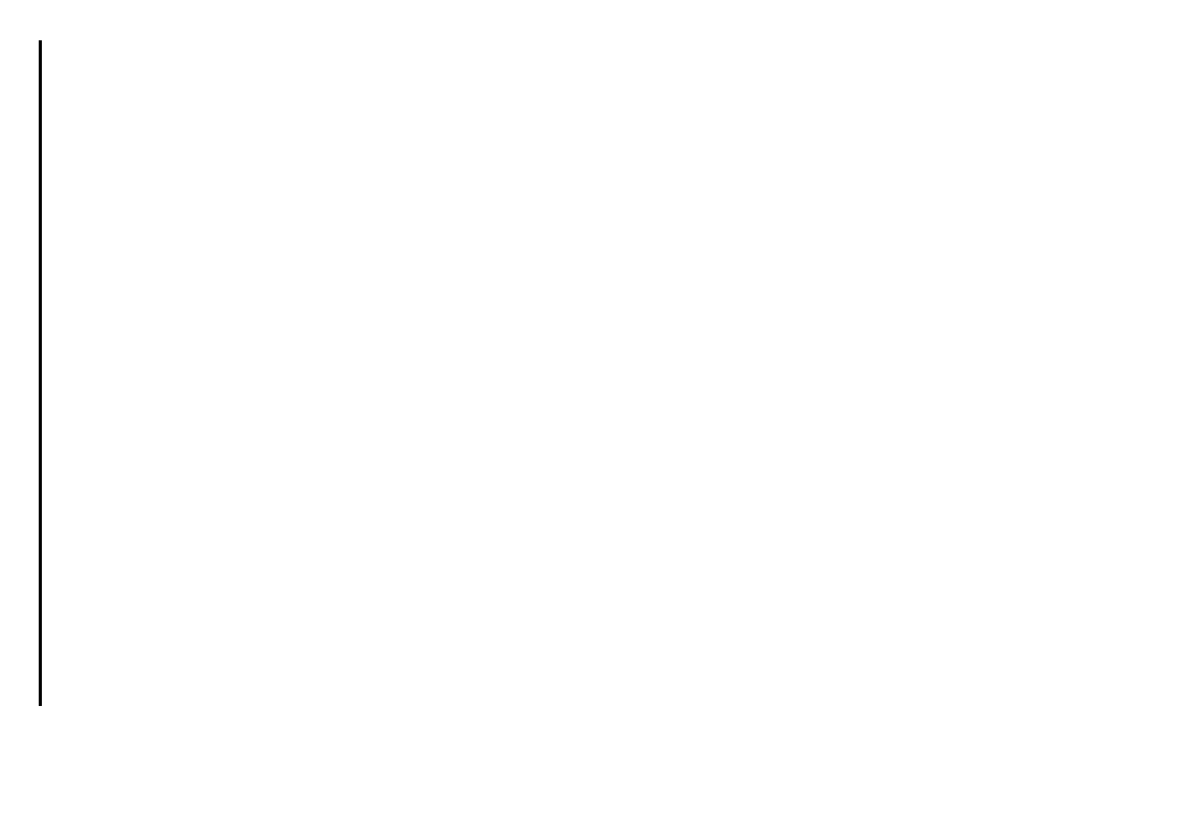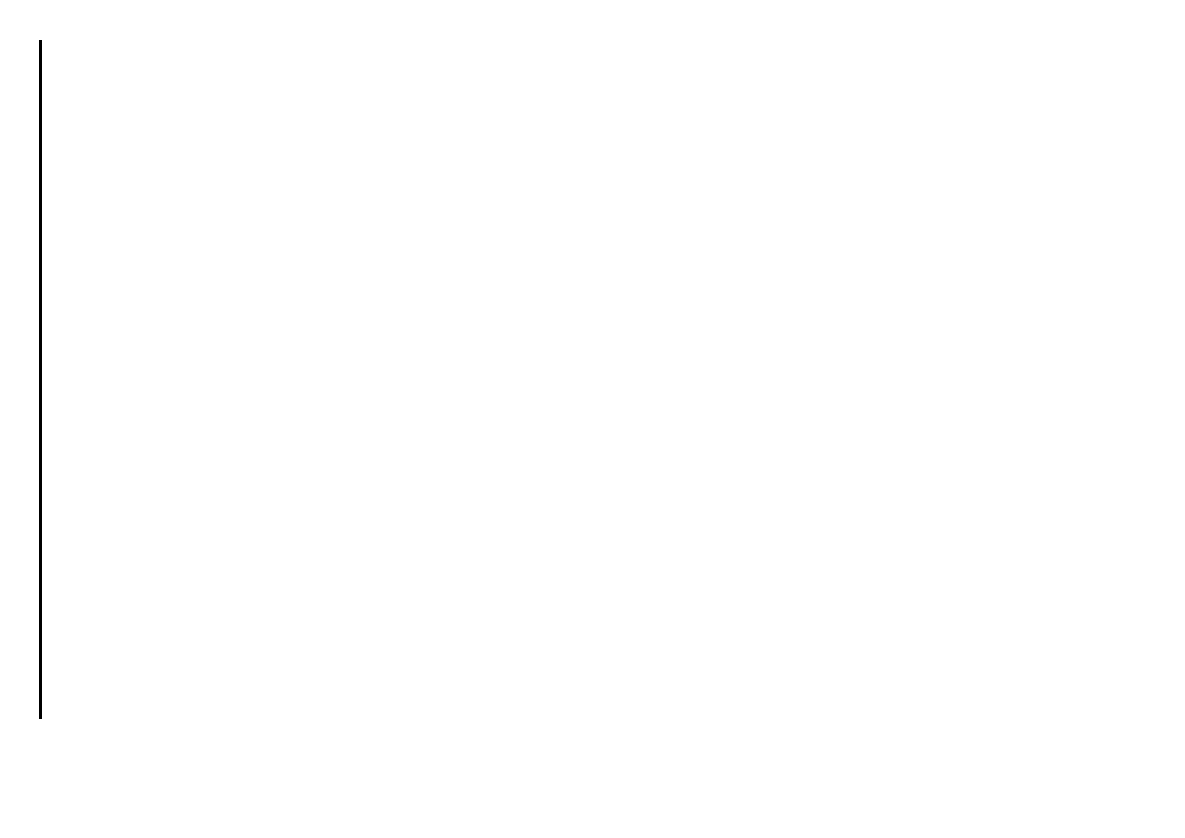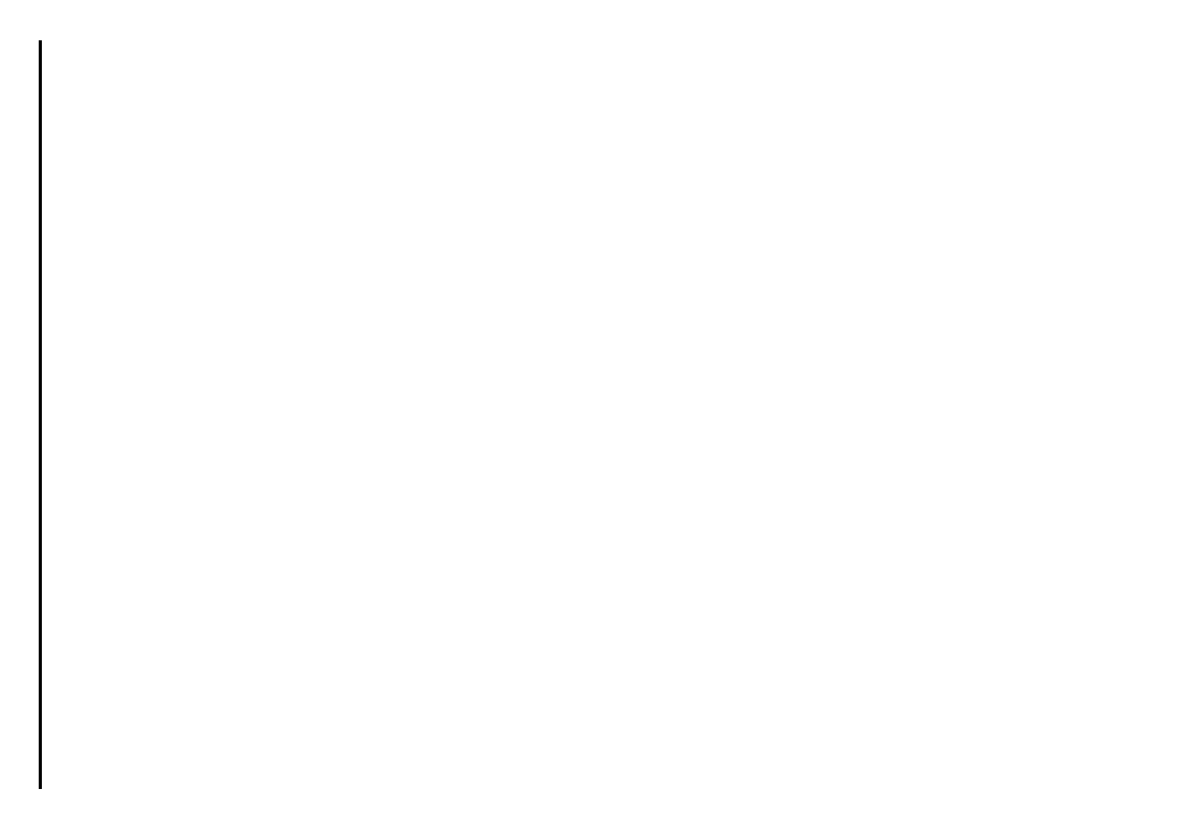